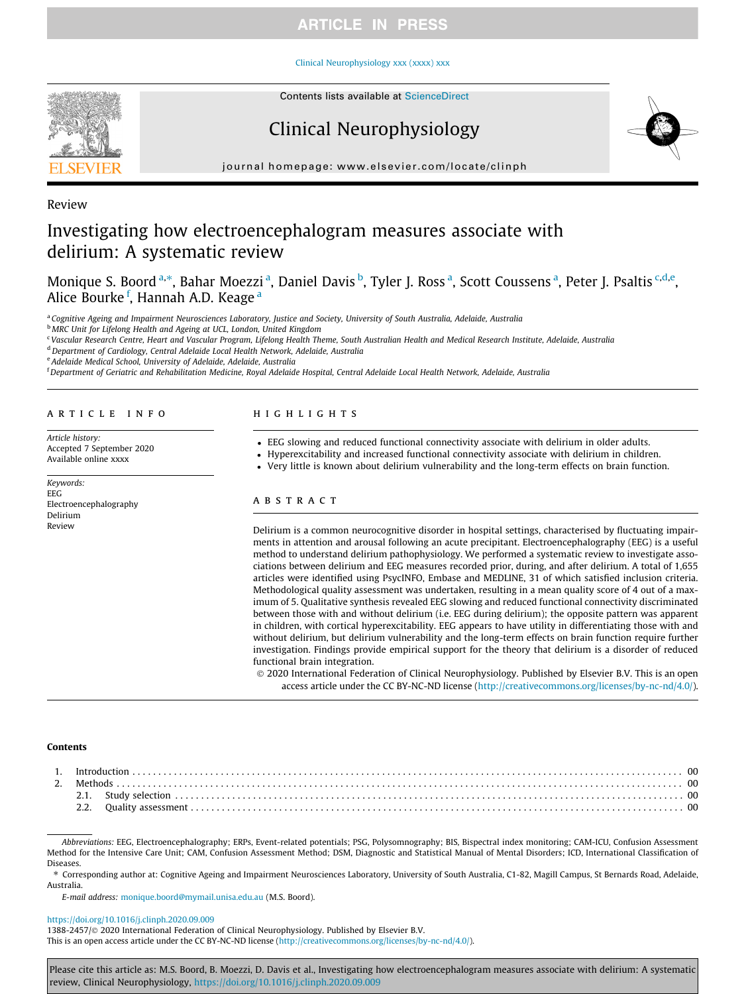#### [Clinical Neurophysiology xxx \(xxxx\) xxx](https://doi.org/10.1016/j.clinph.2020.09.009)



# Clinical Neurophysiology



journal homepage: [www.elsevier.com/locate/clinph](http://www.elsevier.com/locate/clinph)

### Review

# Investigating how electroencephalogram measures associate with delirium: A systematic review

Monique S. Boord <sup>a,\*</sup>, Bahar Moezzi <sup>a</sup>, Daniel Davis <sup>b</sup>, Tyler J. Ross <sup>a</sup>, Scott Coussens <sup>a</sup>, Peter J. Psaltis <sup>c,d,e</sup>, Alice Bourke <sup>f</sup>, Hannah A.D. Keage <sup>a</sup>

a Cognitive Ageing and Impairment Neurosciences Laboratory, Justice and Society, University of South Australia, Adelaide, Australia

<sup>b</sup> MRC Unit for Lifelong Health and Ageing at UCL, London, United Kingdom

<sup>c</sup> Vascular Research Centre, Heart and Vascular Program, Lifelong Health Theme, South Australian Health and Medical Research Institute, Adelaide, Australia

<sup>d</sup> Department of Cardiology, Central Adelaide Local Health Network, Adelaide, Australia

<sup>e</sup> Adelaide Medical School, University of Adelaide, Adelaide, Australia

f Department of Geriatric and Rehabilitation Medicine, Royal Adelaide Hospital, Central Adelaide Local Health Network, Adelaide, Australia

Article history: Accepted 7 September 2020 Available online xxxx

Keywords: EEG Electroencephalography Delirium Review

- 
- EEG slowing and reduced functional connectivity associate with delirium in older adults.
- Hyperexcitability and increased functional connectivity associate with delirium in children.
- Very little is known about delirium vulnerability and the long-term effects on brain function.

# <u>abstractive</u>

Delirium is a common neurocognitive disorder in hospital settings, characterised by fluctuating impairments in attention and arousal following an acute precipitant. Electroencephalography (EEG) is a useful method to understand delirium pathophysiology. We performed a systematic review to investigate associations between delirium and EEG measures recorded prior, during, and after delirium. A total of 1,655 articles were identified using PsycINFO, Embase and MEDLINE, 31 of which satisfied inclusion criteria. Methodological quality assessment was undertaken, resulting in a mean quality score of 4 out of a maximum of 5. Qualitative synthesis revealed EEG slowing and reduced functional connectivity discriminated between those with and without delirium (i.e. EEG during delirium); the opposite pattern was apparent in children, with cortical hyperexcitability. EEG appears to have utility in differentiating those with and without delirium, but delirium vulnerability and the long-term effects on brain function require further investigation. Findings provide empirical support for the theory that delirium is a disorder of reduced functional brain integration.

 2020 International Federation of Clinical Neurophysiology. Published by Elsevier B.V. This is an open access article under the CC BY-NC-ND license (<http://creativecommons.org/licenses/by-nc-nd/4.0/>).

#### Contents

Abbreviations: EEG, Electroencephalography; ERPs, Event-related potentials; PSG, Polysomnography; BIS, Bispectral index monitoring; CAM-ICU, Confusion Assessment Method for the Intensive Care Unit; CAM, Confusion Assessment Method; DSM, Diagnostic and Statistical Manual of Mental Disorders; ICD, International Classification of Diseases.

⇑ Corresponding author at: Cognitive Ageing and Impairment Neurosciences Laboratory, University of South Australia, C1-82, Magill Campus, St Bernards Road, Adelaide, Australia.

E-mail address: [monique.boord@mymail.unisa.edu.au](mailto:monique.boord@mymail.unisa.edu.au) (M.S. Boord).

#### <https://doi.org/10.1016/j.clinph.2020.09.009>

1388-2457/© 2020 International Federation of Clinical Neurophysiology. Published by Elsevier B.V.

This is an open access article under the CC BY-NC-ND license ([http://creativecommons.org/licenses/by-nc-nd/4.0/\)](http://creativecommons.org/licenses/by-nc-nd/4.0/).

Please cite this article as: M.S. Boord, B. Moezzi, D. Davis et al., Investigating how electroencephalogram measures associate with delirium: A systematic review, Clinical Neurophysiology, <https://doi.org/10.1016/j.clinph.2020.09.009>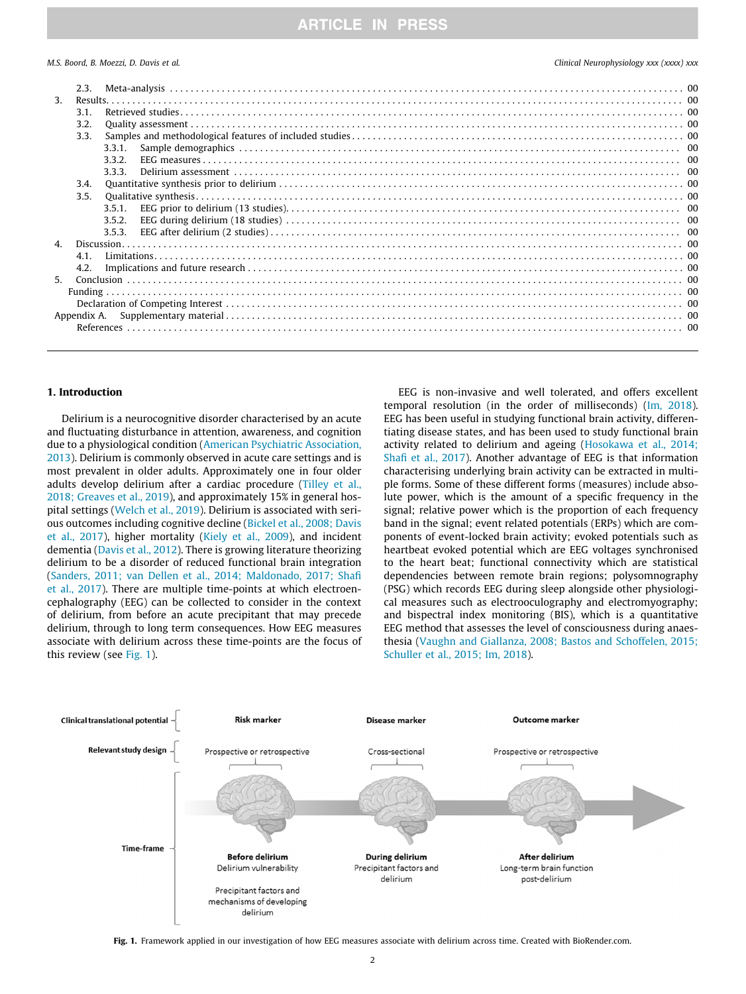M.S. Boord, B. Moezzi, D. Davis et al. Clinical Neurophysiology xxx (xxxx) xxx

| 2.3.        |        |  |  |  |  |  |  |  |
|-------------|--------|--|--|--|--|--|--|--|
|             |        |  |  |  |  |  |  |  |
| 3.1.        |        |  |  |  |  |  |  |  |
| 3.2.        |        |  |  |  |  |  |  |  |
| 3.3.        |        |  |  |  |  |  |  |  |
|             | 3.3.1. |  |  |  |  |  |  |  |
|             | 3.3.2. |  |  |  |  |  |  |  |
|             | 3.3.3. |  |  |  |  |  |  |  |
| 3.4.        |        |  |  |  |  |  |  |  |
| 3.5.        |        |  |  |  |  |  |  |  |
|             | 3.5.1. |  |  |  |  |  |  |  |
|             | 3.5.2. |  |  |  |  |  |  |  |
|             | 3.5.3. |  |  |  |  |  |  |  |
|             |        |  |  |  |  |  |  |  |
| 4.1.        |        |  |  |  |  |  |  |  |
|             |        |  |  |  |  |  |  |  |
|             |        |  |  |  |  |  |  |  |
| $5^{\circ}$ |        |  |  |  |  |  |  |  |
|             |        |  |  |  |  |  |  |  |
| Appendix A. |        |  |  |  |  |  |  |  |
|             |        |  |  |  |  |  |  |  |
|             |        |  |  |  |  |  |  |  |
|             | 4.2.   |  |  |  |  |  |  |  |

### 1. Introduction

Delirium is a neurocognitive disorder characterised by an acute and fluctuating disturbance in attention, awareness, and cognition due to a physiological condition [\(American Psychiatric Association,](#page-9-0) [2013\)](#page-9-0). Delirium is commonly observed in acute care settings and is most prevalent in older adults. Approximately one in four older adults develop delirium after a cardiac procedure ([Tilley et al.,](#page-11-0) [2018; Greaves et al., 2019](#page-11-0)), and approximately 15% in general hospital settings ([Welch et al., 2019](#page-11-0)). Delirium is associated with serious outcomes including cognitive decline ([Bickel et al., 2008; Davis](#page-10-0) [et al., 2017\)](#page-10-0), higher mortality ([Kiely et al., 2009\)](#page-10-0), and incident dementia [\(Davis et al., 2012\)](#page-10-0). There is growing literature theorizing delirium to be a disorder of reduced functional brain integration ([Sanders, 2011; van Dellen et al., 2014; Maldonado, 2017; Shafi](#page-11-0) [et al., 2017](#page-11-0)). There are multiple time-points at which electroencephalography (EEG) can be collected to consider in the context of delirium, from before an acute precipitant that may precede delirium, through to long term consequences. How EEG measures associate with delirium across these time-points are the focus of this review (see Fig. 1).

EEG is non-invasive and well tolerated, and offers excellent temporal resolution (in the order of milliseconds) ([Im, 2018\)](#page-10-0). EEG has been useful in studying functional brain activity, differentiating disease states, and has been used to study functional brain activity related to delirium and ageing ([Hosokawa et al., 2014;](#page-10-0) [Shafi et al., 2017\)](#page-10-0). Another advantage of EEG is that information characterising underlying brain activity can be extracted in multiple forms. Some of these different forms (measures) include absolute power, which is the amount of a specific frequency in the signal; relative power which is the proportion of each frequency band in the signal; event related potentials (ERPs) which are components of event-locked brain activity; evoked potentials such as heartbeat evoked potential which are EEG voltages synchronised to the heart beat; functional connectivity which are statistical dependencies between remote brain regions; polysomnography (PSG) which records EEG during sleep alongside other physiological measures such as electrooculography and electromyography; and bispectral index monitoring (BIS), which is a quantitative EEG method that assesses the level of consciousness during anaesthesia [\(Vaughn and Giallanza, 2008; Bastos and Schoffelen, 2015;](#page-11-0) [Schuller et al., 2015; Im, 2018](#page-11-0)).



Fig. 1. Framework applied in our investigation of how EEG measures associate with delirium across time. Created with BioRender.com.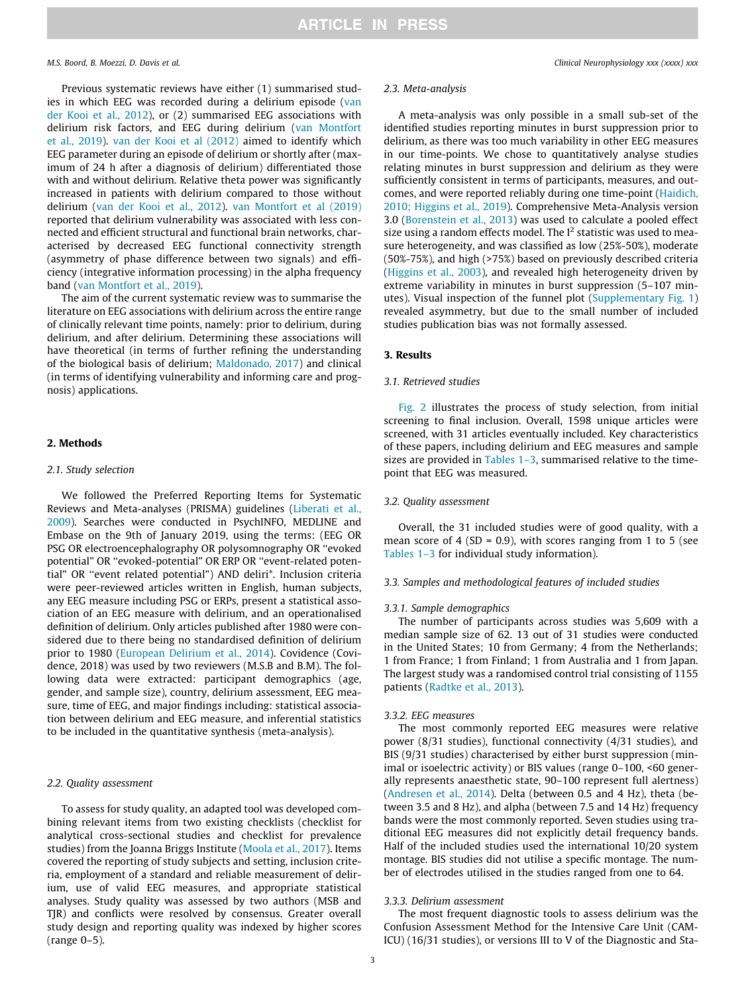Previous systematic reviews have either (1) summarised studies in which EEG was recorded during a delirium episode [\(van](#page-11-0) [der Kooi et al., 2012](#page-11-0)), or (2) summarised EEG associations with delirium risk factors, and EEG during delirium [\(van Montfort](#page-11-0) [et al., 2019\)](#page-11-0). [van der Kooi et al \(2012\)](#page-11-0) aimed to identify which EEG parameter during an episode of delirium or shortly after (maximum of 24 h after a diagnosis of delirium) differentiated those with and without delirium. Relative theta power was significantly increased in patients with delirium compared to those without delirium ([van der Kooi et al., 2012\)](#page-11-0). [van Montfort et al \(2019\)](#page-11-0) reported that delirium vulnerability was associated with less connected and efficient structural and functional brain networks, characterised by decreased EEG functional connectivity strength (asymmetry of phase difference between two signals) and efficiency (integrative information processing) in the alpha frequency band [\(van Montfort et al., 2019](#page-11-0)).

The aim of the current systematic review was to summarise the literature on EEG associations with delirium across the entire range of clinically relevant time points, namely: prior to delirium, during delirium, and after delirium. Determining these associations will have theoretical (in terms of further refining the understanding of the biological basis of delirium; [Maldonado, 2017\)](#page-10-0) and clinical (in terms of identifying vulnerability and informing care and prognosis) applications.

#### 2. Methods

#### 2.1. Study selection

We followed the Preferred Reporting Items for Systematic Reviews and Meta-analyses (PRISMA) guidelines [\(Liberati et al.,](#page-10-0) [2009](#page-10-0)). Searches were conducted in PsychINFO, MEDLINE and Embase on the 9th of January 2019, using the terms: (EEG OR PSG OR electroencephalography OR polysomnography OR ''evoked potential" OR ''evoked-potential" OR ERP OR ''event-related potential" OR ''event related potential") AND deliri\*. Inclusion criteria were peer-reviewed articles written in English, human subjects, any EEG measure including PSG or ERPs, present a statistical association of an EEG measure with delirium, and an operationalised definition of delirium. Only articles published after 1980 were considered due to there being no standardised definition of delirium prior to 1980 ([European Delirium et al., 2014](#page-10-0)). Covidence (Covidence, 2018) was used by two reviewers (M.S.B and B.M). The following data were extracted: participant demographics (age, gender, and sample size), country, delirium assessment, EEG measure, time of EEG, and major findings including: statistical association between delirium and EEG measure, and inferential statistics to be included in the quantitative synthesis (meta-analysis).

#### 2.2. Quality assessment

To assess for study quality, an adapted tool was developed combining relevant items from two existing checklists (checklist for analytical cross-sectional studies and checklist for prevalence studies) from the Joanna Briggs Institute [\(Moola et al., 2017\)](#page-10-0). Items covered the reporting of study subjects and setting, inclusion criteria, employment of a standard and reliable measurement of delirium, use of valid EEG measures, and appropriate statistical analyses. Study quality was assessed by two authors (MSB and TJR) and conflicts were resolved by consensus. Greater overall study design and reporting quality was indexed by higher scores (range 0–5).

#### 2.3. Meta-analysis

A meta-analysis was only possible in a small sub-set of the identified studies reporting minutes in burst suppression prior to delirium, as there was too much variability in other EEG measures in our time-points. We chose to quantitatively analyse studies relating minutes in burst suppression and delirium as they were sufficiently consistent in terms of participants, measures, and outcomes, and were reported reliably during one time-point ([Haidich,](#page-10-0) [2010; Higgins et al., 2019\)](#page-10-0). Comprehensive Meta-Analysis version 3.0 ([Borenstein et al., 2013\)](#page-10-0) was used to calculate a pooled effect size using a random effects model. The  $I^2$  statistic was used to measure heterogeneity, and was classified as low (25%-50%), moderate (50%-75%), and high (>75%) based on previously described criteria ([Higgins et al., 2003\)](#page-10-0), and revealed high heterogeneity driven by extreme variability in minutes in burst suppression (5–107 minutes). Visual inspection of the funnel plot (Supplementary Fig. 1) revealed asymmetry, but due to the small number of included studies publication bias was not formally assessed.

#### 3. Results

#### 3.1. Retrieved studies

[Fig. 2](#page-3-0) illustrates the process of study selection, from initial screening to final inclusion. Overall, 1598 unique articles were screened, with 31 articles eventually included. Key characteristics of these papers, including delirium and EEG measures and sample sizes are provided in [Tables 1–3,](#page-4-0) summarised relative to the timepoint that EEG was measured.

#### 3.2. Quality assessment

Overall, the 31 included studies were of good quality, with a mean score of 4 (SD = 0.9), with scores ranging from 1 to 5 (see [Tables 1–3](#page-4-0) for individual study information).

#### 3.3. Samples and methodological features of included studies

#### 3.3.1. Sample demographics

The number of participants across studies was 5,609 with a median sample size of 62. 13 out of 31 studies were conducted in the United States; 10 from Germany; 4 from the Netherlands; 1 from France; 1 from Finland; 1 from Australia and 1 from Japan. The largest study was a randomised control trial consisting of 1155 patients ([Radtke et al., 2013\)](#page-10-0).

#### 3.3.2. EEG measures

The most commonly reported EEG measures were relative power (8/31 studies), functional connectivity (4/31 studies), and BIS (9/31 studies) characterised by either burst suppression (minimal or isoelectric activity) or BIS values (range 0–100, <60 generally represents anaesthetic state, 90–100 represent full alertness) ([Andresen et al., 2014\)](#page-9-0). Delta (between 0.5 and 4 Hz), theta (between 3.5 and 8 Hz), and alpha (between 7.5 and 14 Hz) frequency bands were the most commonly reported. Seven studies using traditional EEG measures did not explicitly detail frequency bands. Half of the included studies used the international 10/20 system montage. BIS studies did not utilise a specific montage. The number of electrodes utilised in the studies ranged from one to 64.

#### 3.3.3. Delirium assessment

The most frequent diagnostic tools to assess delirium was the Confusion Assessment Method for the Intensive Care Unit (CAM-ICU) (16/31 studies), or versions III to V of the Diagnostic and Sta-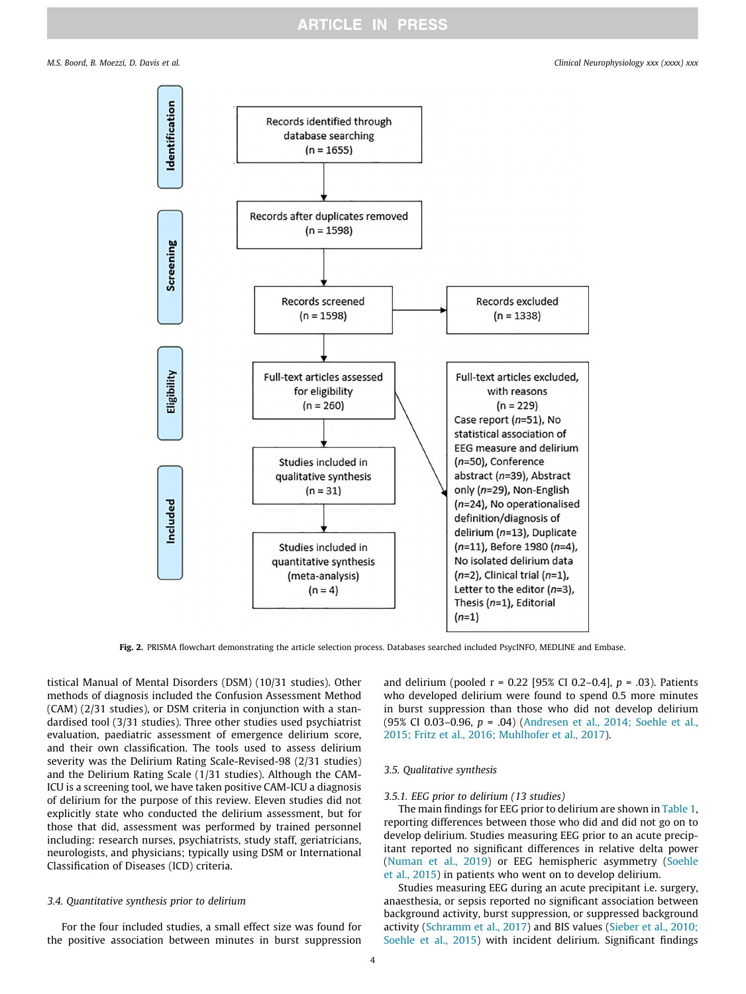<span id="page-3-0"></span>M.S. Boord, B. Moezzi, D. Davis et al. Clinical Neurophysiology xxx (xxxx) xxx



Fig. 2. PRISMA flowchart demonstrating the article selection process. Databases searched included PsycINFO, MEDLINE and Embase.

tistical Manual of Mental Disorders (DSM) (10/31 studies). Other methods of diagnosis included the Confusion Assessment Method (CAM) (2/31 studies), or DSM criteria in conjunction with a standardised tool (3/31 studies). Three other studies used psychiatrist evaluation, paediatric assessment of emergence delirium score, and their own classification. The tools used to assess delirium severity was the Delirium Rating Scale-Revised-98 (2/31 studies) and the Delirium Rating Scale (1/31 studies). Although the CAM-ICU is a screening tool, we have taken positive CAM-ICU a diagnosis of delirium for the purpose of this review. Eleven studies did not explicitly state who conducted the delirium assessment, but for those that did, assessment was performed by trained personnel including: research nurses, psychiatrists, study staff, geriatricians, neurologists, and physicians; typically using DSM or International Classification of Diseases (ICD) criteria.

#### 3.4. Quantitative synthesis prior to delirium

For the four included studies, a small effect size was found for the positive association between minutes in burst suppression and delirium (pooled  $r = 0.22$  [95% CI 0.2–0.4],  $p = .03$ ). Patients who developed delirium were found to spend 0.5 more minutes in burst suppression than those who did not develop delirium (95% CI 0.03–0.96, p = .04) [\(Andresen et al., 2014; Soehle et al.,](#page-9-0) [2015; Fritz et al., 2016; Muhlhofer et al., 2017](#page-9-0)).

### 3.5. Qualitative synthesis

### 3.5.1. EEG prior to delirium (13 studies)

The main findings for EEG prior to delirium are shown in [Table 1,](#page-4-0) reporting differences between those who did and did not go on to develop delirium. Studies measuring EEG prior to an acute precipitant reported no significant differences in relative delta power ([Numan et al., 2019](#page-10-0)) or EEG hemispheric asymmetry ([Soehle](#page-11-0) [et al., 2015\)](#page-11-0) in patients who went on to develop delirium.

Studies measuring EEG during an acute precipitant i.e. surgery, anaesthesia, or sepsis reported no significant association between background activity, burst suppression, or suppressed background activity [\(Schramm et al., 2017\)](#page-11-0) and BIS values ([Sieber et al., 2010;](#page-11-0) [Soehle et al., 2015\)](#page-11-0) with incident delirium. Significant findings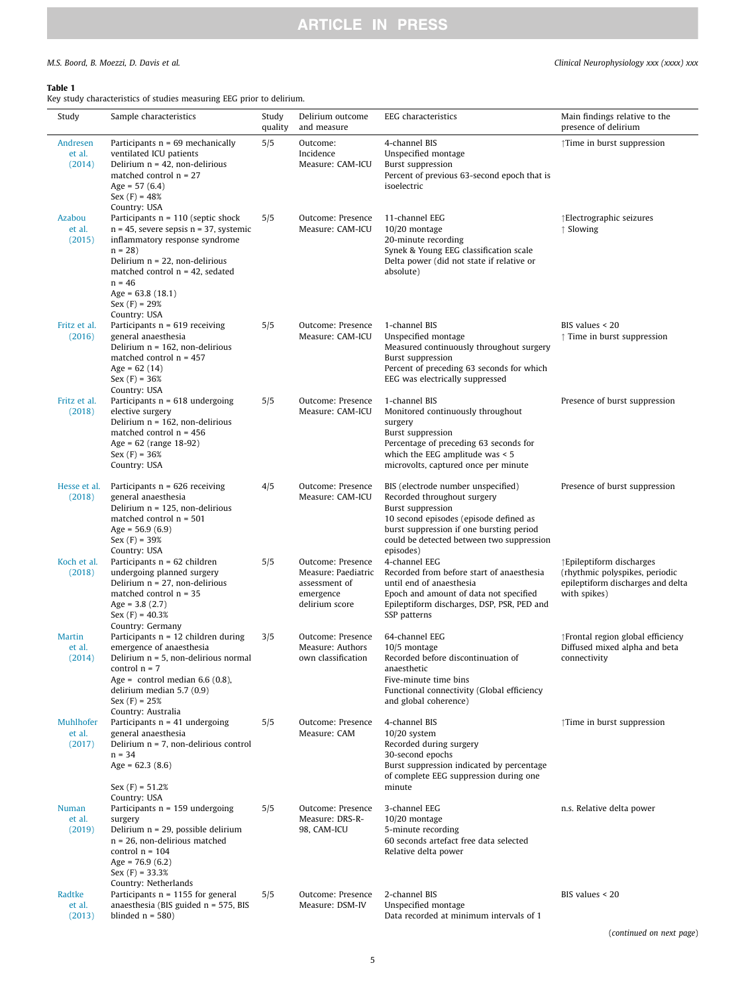## <span id="page-4-0"></span>M.S. Boord, B. Moezzi, D. Davis et al. **Clinical Neurophysiology xxx (xxxx)** xxx

### Table 1

Key study characteristics of studies measuring EEG prior to delirium.

| Study                         | Sample characteristics                                                                                                                                                                                                                                       | Study<br>quality | Delirium outcome<br>and measure                                                          | <b>EEG</b> characteristics                                                                                                                                                                                                                    | Main findings relative to the<br>presence of delirium                                                           |
|-------------------------------|--------------------------------------------------------------------------------------------------------------------------------------------------------------------------------------------------------------------------------------------------------------|------------------|------------------------------------------------------------------------------------------|-----------------------------------------------------------------------------------------------------------------------------------------------------------------------------------------------------------------------------------------------|-----------------------------------------------------------------------------------------------------------------|
| Andresen<br>et al.<br>(2014)  | Participants $n = 69$ mechanically<br>ventilated ICU patients<br>Delirium $n = 42$ , non-delirious<br>matched control $n = 27$<br>Age = $57(6.4)$                                                                                                            | 5/5              | Outcome:<br>Incidence<br>Measure: CAM-ICU                                                | 4-channel BIS<br>Unspecified montage<br><b>Burst suppression</b><br>Percent of previous 63-second epoch that is<br>isoelectric                                                                                                                | ↑Time in burst suppression                                                                                      |
| Azabou<br>et al.<br>(2015)    | $Sex (F) = 48%$<br>Country: USA<br>Participants $n = 110$ (septic shock<br>$n = 45$ , severe sepsis $n = 37$ , systemic<br>inflammatory response syndrome<br>$n = 28$<br>Delirium $n = 22$ , non-delirious<br>matched control $n = 42$ , sedated<br>$n = 46$ | 5/5              | Outcome: Presence<br>Measure: CAM-ICU                                                    | 11-channel EEG<br>10/20 montage<br>20-minute recording<br>Synek & Young EEG classification scale<br>Delta power (did not state if relative or<br>absolute)                                                                                    | ↑Electrographic seizures<br>$\uparrow$ Slowing                                                                  |
| Fritz et al.<br>(2016)        | Age = $63.8(18.1)$<br>$Sex (F) = 29%$<br>Country: USA<br>Participants $n = 619$ receiving<br>general anaesthesia<br>Delirium $n = 162$ , non-delirious<br>matched control $n = 457$<br>Age = $62(14)$<br>$Sex (F) = 36%$                                     | 5/5              | Outcome: Presence<br>Measure: CAM-ICU                                                    | 1-channel BIS<br>Unspecified montage<br>Measured continuously throughout surgery<br><b>Burst suppression</b><br>Percent of preceding 63 seconds for which<br>EEG was electrically suppressed                                                  | BIS values $<$ 20<br>$\uparrow$ Time in burst suppression                                                       |
| Fritz et al.<br>(2018)        | Country: USA<br>Participants $n = 618$ undergoing<br>elective surgery<br>Delirium $n = 162$ , non-delirious<br>matched control $n = 456$<br>Age = $62$ (range $18-92$ )<br>$Sex (F) = 36%$<br>Country: USA                                                   | 5/5              | Outcome: Presence<br>Measure: CAM-ICU                                                    | 1-channel BIS<br>Monitored continuously throughout<br>surgery<br><b>Burst suppression</b><br>Percentage of preceding 63 seconds for<br>which the EEG amplitude was $<$ 5<br>microvolts, captured once per minute                              | Presence of burst suppression                                                                                   |
| Hesse et al.<br>(2018)        | Participants $n = 626$ receiving<br>general anaesthesia<br>Delirium $n = 125$ , non-delirious<br>matched control $n = 501$<br>Age = $56.9(6.9)$<br>$Sex (F) = 39%$<br>Country: USA                                                                           | 4/5              | Outcome: Presence<br>Measure: CAM-ICU                                                    | BIS (electrode number unspecified)<br>Recorded throughout surgery<br><b>Burst suppression</b><br>10 second episodes (episode defined as<br>burst suppression if one bursting period<br>could be detected between two suppression<br>episodes) | Presence of burst suppression                                                                                   |
| Koch et al.<br>(2018)         | Participants $n = 62$ children<br>undergoing planned surgery<br>Delirium $n = 27$ , non-delirious<br>matched control $n = 35$<br>Age = $3.8(2.7)$<br>$Sex (F) = 40.3%$<br>Country: Germany                                                                   | 5/5              | Outcome: Presence<br>Measure: Paediatric<br>assessment of<br>emergence<br>delirium score | 4-channel EEG<br>Recorded from before start of anaesthesia<br>until end of anaesthesia<br>Epoch and amount of data not specified<br>Epileptiform discharges, DSP, PSR, PED and<br>SSP patterns                                                | ↑Epileptiform discharges<br>(rhythmic polyspikes, periodic<br>epileptiform discharges and delta<br>with spikes) |
| Martin<br>et al.<br>(2014)    | Participants n = 12 children during<br>emergence of anaesthesia<br>Delirium n = 5, non-delirious normal<br>control n = 7<br>Age = control median $6.6(0.8)$ ,<br>delirium median 5.7 (0.9)<br>$Sex (F) = 25%$<br>Country: Australia                          | 3/5              | Outcome: Presence<br>Measure: Authors<br>own classification                              | 64-channel EEG<br>10/5 montage<br>Recorded before discontinuation of<br>anaesthetic<br>Five-minute time bins<br>Functional connectivity (Global efficiency<br>and global coherence)                                                           | ↑ Frontal region global efficiency<br>Diffused mixed alpha and beta<br>connectivity                             |
| Muhlhofer<br>et al.<br>(2017) | Participants $n = 41$ undergoing<br>general anaesthesia<br>Delirium $n = 7$ , non-delirious control<br>$n = 34$<br>Age = $62.3(8.6)$<br>$Sex (F) = 51.2%$                                                                                                    | 5/5              | Outcome: Presence<br>Measure: CAM                                                        | 4-channel BIS<br>$10/20$ system<br>Recorded during surgery<br>30-second epochs<br>Burst suppression indicated by percentage<br>of complete EEG suppression during one<br>minute                                                               | ↑Time in burst suppression                                                                                      |
| Numan<br>et al.<br>(2019)     | Country: USA<br>Participants $n = 159$ undergoing<br>surgery<br>Delirium $n = 29$ , possible delirium<br>$n = 26$ , non-delirious matched<br>control $n = 104$<br>Age = $76.9(6.2)$<br>$Sex (F) = 33.3%$                                                     | 5/5              | Outcome: Presence<br>Measure: DRS-R-<br>98, CAM-ICU                                      | 3-channel EEG<br>10/20 montage<br>5-minute recording<br>60 seconds artefact free data selected<br>Relative delta power                                                                                                                        | n.s. Relative delta power                                                                                       |
| Radtke<br>et al.<br>(2013)    | Country: Netherlands<br>Participants $n = 1155$ for general<br>anaesthesia (BIS guided $n = 575$ , BIS<br>blinded $n = 580$ )                                                                                                                                | 5/5              | Outcome: Presence<br>Measure: DSM-IV                                                     | 2-channel BIS<br>Unspecified montage<br>Data recorded at minimum intervals of 1                                                                                                                                                               | BIS values $<$ 20                                                                                               |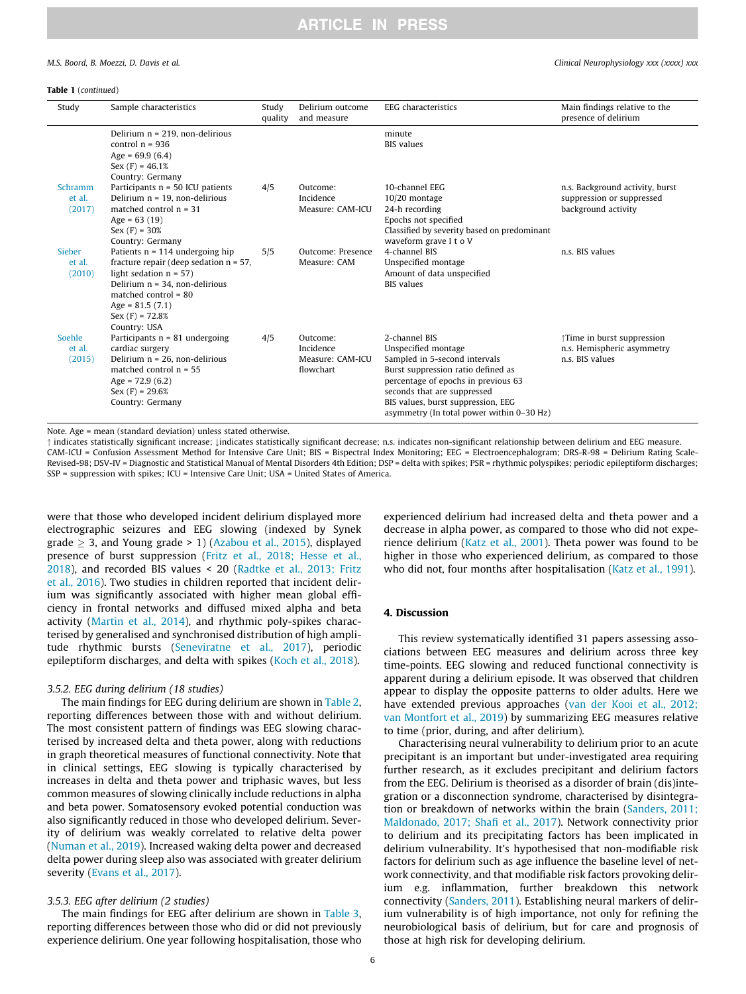#### Table 1 (continued)

| Study                       | Sample characteristics                                                                                                                                                                                                               | Study<br>quality | Delirium outcome<br>and measure                        | EEG characteristics                                                                                                                                                                                                                                                  | Main findings relative to the<br>presence of delirium                               |
|-----------------------------|--------------------------------------------------------------------------------------------------------------------------------------------------------------------------------------------------------------------------------------|------------------|--------------------------------------------------------|----------------------------------------------------------------------------------------------------------------------------------------------------------------------------------------------------------------------------------------------------------------------|-------------------------------------------------------------------------------------|
|                             | Delirium $n = 219$ , non-delirious<br>control $n = 936$<br>Age = $69.9(6.4)$<br>$Sex (F) = 46.1%$<br>Country: Germany                                                                                                                |                  |                                                        | minute<br><b>BIS</b> values                                                                                                                                                                                                                                          |                                                                                     |
| Schramm<br>et al.<br>(2017) | Participants n = 50 ICU patients<br>Delirium $n = 19$ , non-delirious<br>matched control $n = 31$<br>Age = $63(19)$<br>$Sex (F) = 30%$<br>Country: Germany                                                                           | 4/5              | Outcome:<br>Incidence<br>Measure: CAM-ICU              | 10-channel EEG<br>10/20 montage<br>24-h recording<br>Epochs not specified<br>Classified by severity based on predominant<br>waveform grave I t o V                                                                                                                   | n.s. Background activity, burst<br>suppression or suppressed<br>background activity |
| Sieber<br>et al.<br>(2010)  | Patients $n = 114$ undergoing hip<br>fracture repair (deep sedation $n = 57$ ,<br>light sedation $n = 57$ )<br>Delirium $n = 34$ , non-delirious<br>matched control $= 80$<br>Age = $81.5(7.1)$<br>$Sex (F) = 72.8%$<br>Country: USA | 5/5              | Outcome: Presence<br>Measure: CAM                      | 4-channel BIS<br>Unspecified montage<br>Amount of data unspecified<br><b>BIS</b> values                                                                                                                                                                              | n.s. BIS values                                                                     |
| Soehle<br>et al.<br>(2015)  | Participants $n = 81$ undergoing<br>cardiac surgery<br>Delirium $n = 26$ , non-delirious<br>matched control $n = 55$<br>Age = $72.9(6.2)$<br>$Sex (F) = 29.6%$<br>Country: Germany                                                   | 4/5              | Outcome:<br>Incidence<br>Measure: CAM-ICU<br>flowchart | 2-channel BIS<br>Unspecified montage<br>Sampled in 5-second intervals<br>Burst suppression ratio defined as<br>percentage of epochs in previous 63<br>seconds that are suppressed<br>BIS values, burst suppression, EEG<br>asymmetry (In total power within 0-30 Hz) | ↑Time in burst suppression<br>n.s. Hemispheric asymmetry<br>n.s. BIS values         |

Note. Age = mean (standard deviation) unless stated otherwise.

" indicates statistically significant increase; ;indicates statistically significant decrease; n.s. indicates non-significant relationship between delirium and EEG measure. CAM-ICU = Confusion Assessment Method for Intensive Care Unit; BIS = Bispectral Index Monitoring; EEG = Electroencephalogram; DRS-R-98 = Delirium Rating Scale-Revised-98; DSV-IV = Diagnostic and Statistical Manual of Mental Disorders 4th Edition; DSP = delta with spikes; PSR = rhythmic polyspikes; periodic epileptiform discharges; SSP = suppression with spikes; ICU = Intensive Care Unit; USA = United States of America.

were that those who developed incident delirium displayed more electrographic seizures and EEG slowing (indexed by Synek grade  $\geq$  3, and Young grade > 1) ([Azabou et al., 2015\)](#page-9-0), displayed presence of burst suppression ([Fritz et al., 2018; Hesse et al.,](#page-10-0) [2018\)](#page-10-0), and recorded BIS values < 20 ([Radtke et al., 2013; Fritz](#page-10-0) [et al., 2016](#page-10-0)). Two studies in children reported that incident delirium was significantly associated with higher mean global efficiency in frontal networks and diffused mixed alpha and beta activity ([Martin et al., 2014\)](#page-10-0), and rhythmic poly-spikes characterised by generalised and synchronised distribution of high amplitude rhythmic bursts ([Seneviratne et al., 2017](#page-11-0)), periodic epileptiform discharges, and delta with spikes ([Koch et al., 2018](#page-10-0)).

#### 3.5.2. EEG during delirium (18 studies)

The main findings for EEG during delirium are shown in [Table 2,](#page-6-0) reporting differences between those with and without delirium. The most consistent pattern of findings was EEG slowing characterised by increased delta and theta power, along with reductions in graph theoretical measures of functional connectivity. Note that in clinical settings, EEG slowing is typically characterised by increases in delta and theta power and triphasic waves, but less common measures of slowing clinically include reductions in alpha and beta power. Somatosensory evoked potential conduction was also significantly reduced in those who developed delirium. Severity of delirium was weakly correlated to relative delta power ([Numan et al., 2019](#page-10-0)). Increased waking delta power and decreased delta power during sleep also was associated with greater delirium severity [\(Evans et al., 2017\)](#page-10-0).

#### 3.5.3. EEG after delirium (2 studies)

The main findings for EEG after delirium are shown in [Table 3,](#page-8-0) reporting differences between those who did or did not previously experience delirium. One year following hospitalisation, those who

experienced delirium had increased delta and theta power and a decrease in alpha power, as compared to those who did not experience delirium ([Katz et al., 2001\)](#page-10-0). Theta power was found to be higher in those who experienced delirium, as compared to those who did not, four months after hospitalisation [\(Katz et al., 1991\)](#page-10-0).

### 4. Discussion

This review systematically identified 31 papers assessing associations between EEG measures and delirium across three key time-points. EEG slowing and reduced functional connectivity is apparent during a delirium episode. It was observed that children appear to display the opposite patterns to older adults. Here we have extended previous approaches [\(van der Kooi et al., 2012;](#page-11-0) [van Montfort et al., 2019](#page-11-0)) by summarizing EEG measures relative to time (prior, during, and after delirium).

Characterising neural vulnerability to delirium prior to an acute precipitant is an important but under-investigated area requiring further research, as it excludes precipitant and delirium factors from the EEG. Delirium is theorised as a disorder of brain (dis)integration or a disconnection syndrome, characterised by disintegration or breakdown of networks within the brain [\(Sanders, 2011;](#page-11-0) [Maldonado, 2017; Shafi et al., 2017\)](#page-11-0). Network connectivity prior to delirium and its precipitating factors has been implicated in delirium vulnerability. It's hypothesised that non-modifiable risk factors for delirium such as age influence the baseline level of network connectivity, and that modifiable risk factors provoking delirium e.g. inflammation, further breakdown this network connectivity ([Sanders, 2011\)](#page-11-0). Establishing neural markers of delirium vulnerability is of high importance, not only for refining the neurobiological basis of delirium, but for care and prognosis of those at high risk for developing delirium.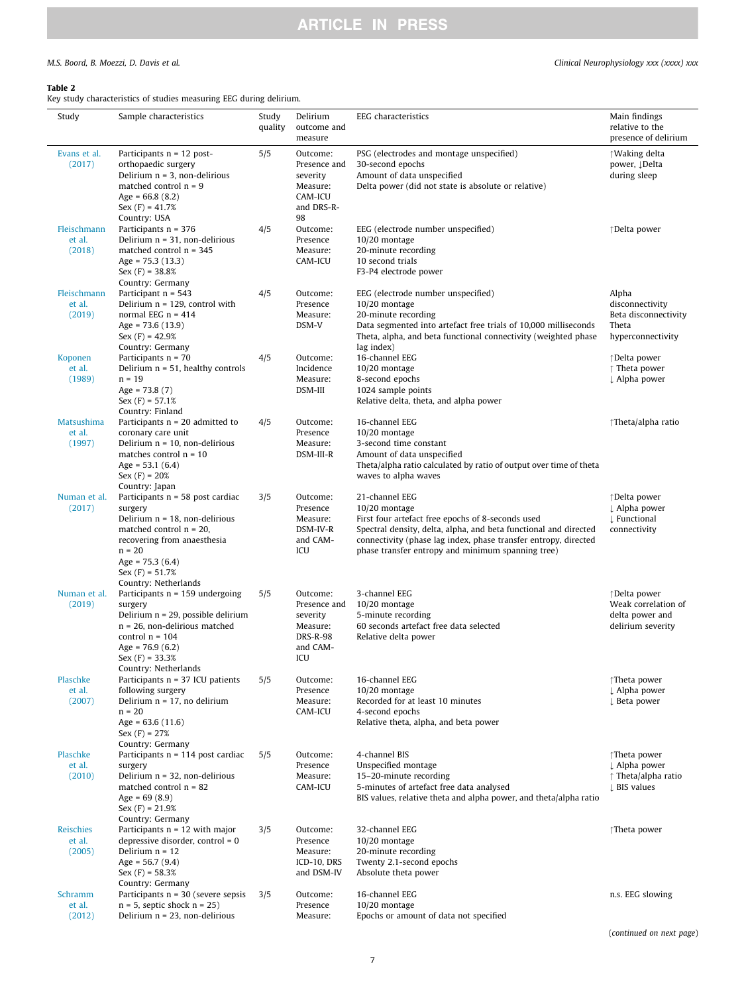## <span id="page-6-0"></span>M.S. Boord, B. Moezzi, D. Davis et al. **Clinical Neurophysiology xxx (xxxx)** xxx

## Table 2

Key study characteristics of studies measuring EEG during delirium.

| Study                                 | Sample characteristics                                                                                                                                                                                                        | Study<br>quality | Delirium<br>outcome and<br>measure                                              | EEG characteristics                                                                                                                                                                                                                                                                | Main findings<br>relative to the<br>presence of delirium                                 |
|---------------------------------------|-------------------------------------------------------------------------------------------------------------------------------------------------------------------------------------------------------------------------------|------------------|---------------------------------------------------------------------------------|------------------------------------------------------------------------------------------------------------------------------------------------------------------------------------------------------------------------------------------------------------------------------------|------------------------------------------------------------------------------------------|
| Evans et al.<br>(2017)                | Participants $n = 12$ post-<br>orthopaedic surgery<br>Delirium $n = 3$ , non-delirious<br>matched control $n = 9$<br>Age = $66.8(8.2)$<br>$Sex (F) = 41.7%$<br>Country: USA                                                   | 5/5              | Outcome:<br>Presence and<br>severity<br>Measure:<br>CAM-ICU<br>and DRS-R-<br>98 | PSG (electrodes and montage unspecified)<br>30-second epochs<br>Amount of data unspecified<br>Delta power (did not state is absolute or relative)                                                                                                                                  | ↑Waking delta<br>power, ↓Delta<br>during sleep                                           |
| Fleischmann<br>et al.<br>(2018)       | Participants $n = 376$<br>Delirium $n = 31$ , non-delirious<br>matched control $n = 345$<br>Age = $75.3(13.3)$<br>$Sex (F) = 38.8%$<br>Country: Germany                                                                       | 4/5              | Outcome:<br>Presence<br>Measure:<br>CAM-ICU                                     | EEG (electrode number unspecified)<br>$10/20$ montage<br>20-minute recording<br>10 second trials<br>F3-P4 electrode power                                                                                                                                                          | ↑Delta power                                                                             |
| Fleischmann<br>et al.<br>(2019)       | Participant $n = 543$<br>Delirium $n = 129$ , control with<br>normal EEG $n = 414$<br>Age = $73.6(13.9)$<br>Sex $(F) = 42.9%$<br>Country: Germany                                                                             | 4/5              | Outcome:<br>Presence<br>Measure:<br>DSM-V                                       | EEG (electrode number unspecified)<br>10/20 montage<br>20-minute recording<br>Data segmented into artefact free trials of 10,000 milliseconds<br>Theta, alpha, and beta functional connectivity (weighted phase<br>lag index)                                                      | Alpha<br>disconnectivity<br>Beta disconnectivity<br>Theta<br>hyperconnectivity           |
| Koponen<br>et al.<br>(1989)           | Participants $n = 70$<br>Delirium $n = 51$ , healthy controls<br>$n = 19$<br>Age = $73.8(7)$<br>$Sex(F) = 57.1%$<br>Country: Finland                                                                                          | 4/5              | Outcome:<br>Incidence<br>Measure:<br>DSM-III                                    | 16-channel EEG<br>$10/20$ montage<br>8-second epochs<br>1024 sample points<br>Relative delta, theta, and alpha power                                                                                                                                                               | ↑Delta power<br>↑ Theta power<br>$\downarrow$ Alpha power                                |
| <b>Matsushima</b><br>et al.<br>(1997) | Participants $n = 20$ admitted to<br>coronary care unit<br>Delirium $n = 10$ , non-delirious<br>matches control $n = 10$<br>Age = $53.1(6.4)$<br>$Sex (F) = 20%$<br>Country: Japan                                            | 4/5              | Outcome:<br>Presence<br>Measure:<br>DSM-III-R                                   | 16-channel EEG<br>10/20 montage<br>3-second time constant<br>Amount of data unspecified<br>Theta/alpha ratio calculated by ratio of output over time of theta<br>waves to alpha waves                                                                                              | ↑Theta/alpha ratio                                                                       |
| Numan et al.<br>(2017)                | Participants $n = 58$ post cardiac<br>surgery<br>Delirium $n = 18$ , non-delirious<br>matched control $n = 20$ ,<br>recovering from anaesthesia<br>$n = 20$<br>Age = $75.3(6.4)$<br>$Sex (F) = 51.7%$<br>Country: Netherlands | 3/5              | Outcome:<br>Presence<br>Measure:<br>DSM-IV-R<br>and CAM-<br>ICU                 | 21-channel EEG<br>$10/20$ montage<br>First four artefact free epochs of 8-seconds used<br>Spectral density, delta, alpha, and beta functional and directed<br>connectivity (phase lag index, phase transfer entropy, directed<br>phase transfer entropy and minimum spanning tree) | ↑Delta power<br>↓ Alpha power<br>↓ Functional<br>connectivity                            |
| Numan et al.<br>(2019)                | Participants $n = 159$ undergoing<br>surgery<br>Delirium n = 29, possible delirium<br>$n = 26$ , non-delirious matched<br>control $n = 104$<br>Age = $76.9(6.2)$<br>$Sex (F) = 33.3%$<br>Country: Netherlands                 | 5/5              | Outcome:<br>Presence and<br>severity<br>Measure:<br>DRS-R-98<br>and CAM-<br>ICU | 3-channel EEG<br>10/20 montage<br>5-minute recording<br>60 seconds artefact free data selected<br>Relative delta power                                                                                                                                                             | ↑Delta power<br>Weak correlation of<br>delta power and<br>delirium severity              |
| Plaschke<br>et al.<br>(2007)          | Participants n = 37 ICU patients<br>following surgery<br>Delirium $n = 17$ , no delirium<br>$n = 20$<br>Age = $63.6(11.6)$<br>$Sex (F) = 27%$<br>Country: Germany                                                             | 5/5              | Outcome:<br>Presence<br>Measure:<br>CAM-ICU                                     | 16-channel EEG<br>10/20 montage<br>Recorded for at least 10 minutes<br>4-second epochs<br>Relative theta, alpha, and beta power                                                                                                                                                    | ↑Theta power<br>L Alpha power<br>↓ Beta power                                            |
| Plaschke<br>et al.<br>(2010)          | Participants $n = 114$ post cardiac<br>surgery<br>Delirium $n = 32$ , non-delirious<br>matched control $n = 82$<br>Age = $69(8.9)$<br>$Sex (F) = 21.9%$<br>Country: Germany                                                   | 5/5              | Outcome:<br>Presence<br>Measure:<br>CAM-ICU                                     | 4-channel BIS<br>Unspecified montage<br>15-20-minute recording<br>5-minutes of artefact free data analysed<br>BIS values, relative theta and alpha power, and theta/alpha ratio                                                                                                    | ↑Theta power<br>$\downarrow$ Alpha power<br>$\uparrow$ Theta/alpha ratio<br>↓ BIS values |
| Reischies<br>et al.<br>(2005)         | Participants $n = 12$ with major<br>depressive disorder, control = $0$<br>Delirium $n = 12$<br>Age = $56.7(9.4)$<br>$Sex (F) = 58.3%$<br>Country: Germany                                                                     | 3/5              | Outcome:<br>Presence<br>Measure:<br>ICD-10, DRS<br>and DSM-IV                   | 32-channel EEG<br>$10/20$ montage<br>20-minute recording<br>Twenty 2.1-second epochs<br>Absolute theta power                                                                                                                                                                       | ↑Theta power                                                                             |
| Schramm<br>et al.<br>(2012)           | Participants $n = 30$ (severe sepsis<br>$n = 5$ , septic shock $n = 25$ )<br>Delirium $n = 23$ , non-delirious                                                                                                                | 3/5              | Outcome:<br>Presence<br>Measure:                                                | 16-channel EEG<br>$10/20$ montage<br>Epochs or amount of data not specified                                                                                                                                                                                                        | n.s. EEG slowing                                                                         |

(continued on next page)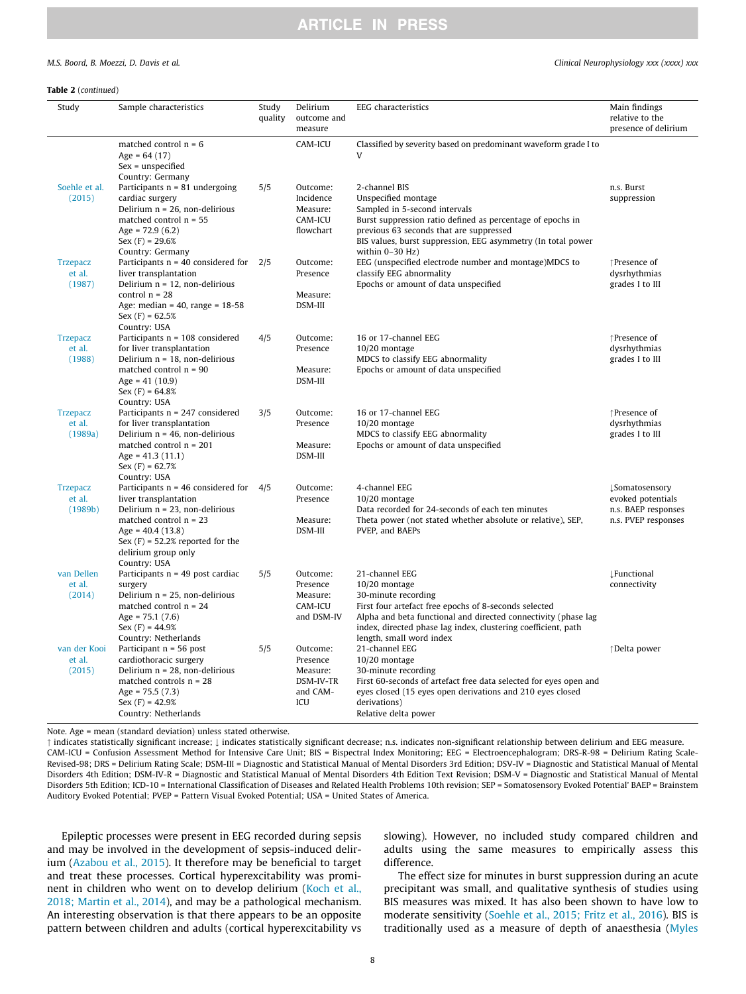#### M.S. Boord, B. Moezzi, D. Davis et al. Clinical Neurophysiology xxx (xxxx) xxx

#### Table 2 (continued)

| Study                                | Sample characteristics                                                                                                                                                                                                            | Study<br>quality | Delirium<br>outcome and<br>measure                               | EEG characteristics                                                                                                                                                                                                                                                            | Main findings<br>relative to the<br>presence of delirium                                |
|--------------------------------------|-----------------------------------------------------------------------------------------------------------------------------------------------------------------------------------------------------------------------------------|------------------|------------------------------------------------------------------|--------------------------------------------------------------------------------------------------------------------------------------------------------------------------------------------------------------------------------------------------------------------------------|-----------------------------------------------------------------------------------------|
| Soehle et al.                        | matched control $n = 6$<br>Age = $64(17)$<br>$Sex = unspecified$<br>Country: Germany<br>Participants $n = 81$ undergoing                                                                                                          | 5/5              | CAM-ICU<br>Outcome:                                              | Classified by severity based on predominant waveform grade I to<br>V<br>2-channel BIS                                                                                                                                                                                          | n.s. Burst                                                                              |
| (2015)                               | cardiac surgery<br>Delirium $n = 26$ , non-delirious<br>matched control $n = 55$<br>Age = $72.9(6.2)$<br>$Sex (F) = 29.6%$<br>Country: Germany                                                                                    |                  | Incidence<br>Measure:<br>CAM-ICU<br>flowchart                    | Unspecified montage<br>Sampled in 5-second intervals<br>Burst suppression ratio defined as percentage of epochs in<br>previous 63 seconds that are suppressed<br>BIS values, burst suppression, EEG asymmetry (In total power<br>within $0-30$ Hz)                             | suppression                                                                             |
| <b>Trzepacz</b><br>et al.<br>(1987)  | Participants $n = 40$ considered for 2/5<br>liver transplantation<br>Delirium $n = 12$ , non-delirious<br>control $n = 28$<br>Age: median = $40$ , range = $18-58$<br>$Sex (F) = 62.5%$<br>Country: USA                           |                  | Outcome:<br>Presence<br>Measure:<br>DSM-III                      | EEG (unspecified electrode number and montage)MDCS to<br>classify EEG abnormality<br>Epochs or amount of data unspecified                                                                                                                                                      | ↑Presence of<br>dysrhythmias<br>grades I to III                                         |
| <b>Trzepacz</b><br>et al.<br>(1988)  | Participants n = 108 considered<br>for liver transplantation<br>Delirium $n = 18$ , non-delirious<br>matched control $n = 90$<br>Age = $41(10.9)$<br>$Sex (F) = 64.8%$<br>Country: USA                                            | 4/5              | Outcome:<br>Presence<br>Measure:<br>DSM-III                      | 16 or 17-channel EEG<br>10/20 montage<br>MDCS to classify EEG abnormality<br>Epochs or amount of data unspecified                                                                                                                                                              | ↑Presence of<br>dysrhythmias<br>grades I to III                                         |
| <b>Trzepacz</b><br>et al.<br>(1989a) | Participants n = 247 considered<br>for liver transplantation<br>Delirium $n = 46$ , non-delirious<br>matched control $n = 201$<br>$Age = 41.3(11.1)$<br>$Sex (F) = 62.7%$<br>Country: USA                                         | 3/5              | Outcome:<br>Presence<br>Measure:<br>DSM-III                      | 16 or 17-channel EEG<br>10/20 montage<br>MDCS to classify EEG abnormality<br>Epochs or amount of data unspecified                                                                                                                                                              | ↑Presence of<br>dysrhythmias<br>grades I to III                                         |
| <b>Trzepacz</b><br>et al.<br>(1989b) | Participants $n = 46$ considered for<br>liver transplantation<br>Delirium $n = 23$ , non-delirious<br>matched control $n = 23$<br>$Age = 40.4(13.8)$<br>Sex $(F) = 52.2%$ reported for the<br>delirium group only<br>Country: USA | 4/5              | Outcome:<br>Presence<br>Measure:<br>DSM-III                      | 4-channel EEG<br>10/20 montage<br>Data recorded for 24-seconds of each ten minutes<br>Theta power (not stated whether absolute or relative), SEP,<br>PVEP, and BAEPs                                                                                                           | <b>Somatosensory</b><br>evoked potentials<br>n.s. BAEP responses<br>n.s. PVEP responses |
| van Dellen<br>et al.<br>(2014)       | Participants $n = 49$ post cardiac<br>surgery<br>Delirium $n = 25$ , non-delirious<br>matched control $n = 24$<br>Age = $75.1(7.6)$<br>$Sex (F) = 44.9%$<br>Country: Netherlands                                                  | 5/5              | Outcome:<br>Presence<br>Measure:<br>CAM-ICU<br>and DSM-IV        | 21-channel EEG<br>10/20 montage<br>30-minute recording<br>First four artefact free epochs of 8-seconds selected<br>Alpha and beta functional and directed connectivity (phase lag<br>index, directed phase lag index, clustering coefficient, path<br>length, small word index | <b>IFunctional</b><br>connectivity                                                      |
| van der Kooi<br>et al.<br>(2015)     | Participant $n = 56$ post<br>cardiothoracic surgery<br>Delirium $n = 28$ , non-delirious<br>matched controls $n = 28$<br>Age = $75.5(7.3)$<br>$Sex (F) = 42.9%$<br>Country: Netherlands                                           | 5/5              | Outcome:<br>Presence<br>Measure:<br>DSM-IV-TR<br>and CAM-<br>ICU | 21-channel EEG<br>$10/20$ montage<br>30-minute recording<br>First 60-seconds of artefact free data selected for eyes open and<br>eyes closed (15 eyes open derivations and 210 eyes closed<br>derivations)<br>Relative delta power                                             | ↑Delta power                                                                            |

Note. Age = mean (standard deviation) unless stated otherwise.

" indicates statistically significant increase; ; indicates statistically significant decrease; n.s. indicates non-significant relationship between delirium and EEG measure. CAM-ICU = Confusion Assessment Method for Intensive Care Unit; BIS = Bispectral Index Monitoring; EEG = Electroencephalogram; DRS-R-98 = Delirium Rating Scale-Revised-98; DRS = Delirium Rating Scale; DSM-III = Diagnostic and Statistical Manual of Mental Disorders 3rd Edition; DSV-IV = Diagnostic and Statistical Manual of Mental Disorders 4th Edition; DSM-IV-R = Diagnostic and Statistical Manual of Mental Disorders 4th Edition Text Revision; DSM-V = Diagnostic and Statistical Manual of Mental Disorders 5th Edition; ICD-10 = International Classification of Diseases and Related Health Problems 10th revision; SEP = Somatosensory Evoked Potential' BAEP = Brainstem Auditory Evoked Potential; PVEP = Pattern Visual Evoked Potential; USA = United States of America.

Epileptic processes were present in EEG recorded during sepsis and may be involved in the development of sepsis-induced delirium [\(Azabou et al., 2015\)](#page-9-0). It therefore may be beneficial to target and treat these processes. Cortical hyperexcitability was prominent in children who went on to develop delirium ([Koch et al.,](#page-10-0) [2018; Martin et al., 2014\)](#page-10-0), and may be a pathological mechanism. An interesting observation is that there appears to be an opposite pattern between children and adults (cortical hyperexcitability vs

slowing). However, no included study compared children and adults using the same measures to empirically assess this difference.

The effect size for minutes in burst suppression during an acute precipitant was small, and qualitative synthesis of studies using BIS measures was mixed. It has also been shown to have low to moderate sensitivity ([Soehle et al., 2015; Fritz et al., 2016](#page-11-0)). BIS is traditionally used as a measure of depth of anaesthesia [\(Myles](#page-10-0)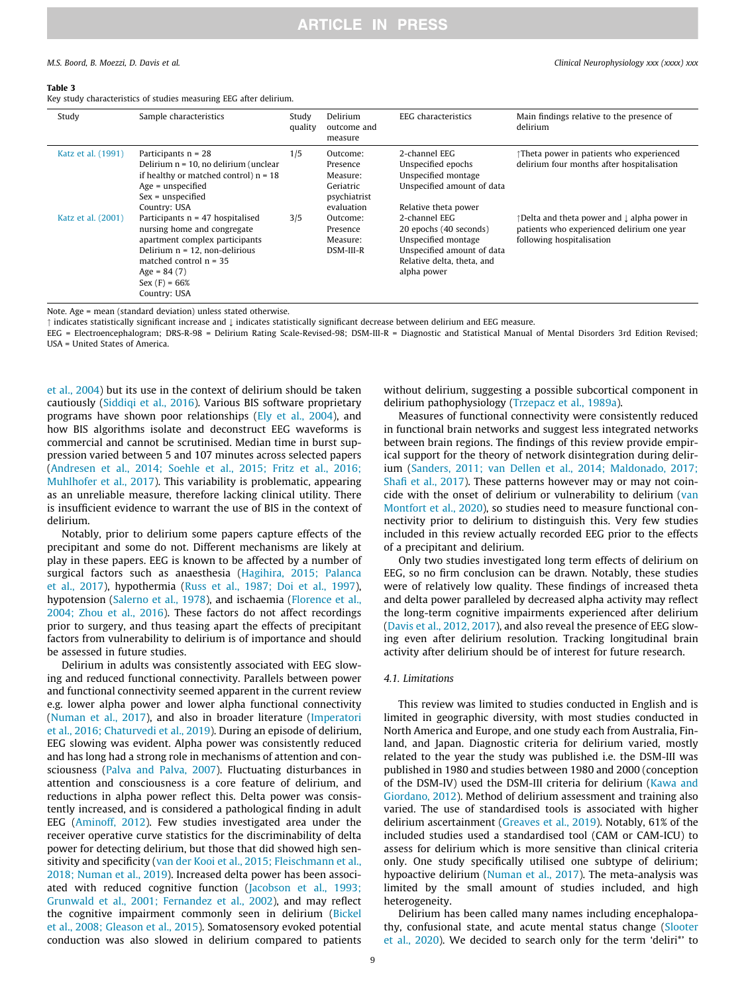#### <span id="page-8-0"></span>M.S. Boord, B. Moezzi, D. Davis et al. Clinical Neurophysiology xxx (xxxx) xxx

#### Table 3

Key study characteristics of studies measuring EEG after delirium.

| Study              | Sample characteristics                                                                                                                                                                                                  | Study<br>quality | Delirium<br>outcome and<br>measure                                          | <b>EEG</b> characteristics                                                                                                                | Main findings relative to the presence of<br>delirium                                                                             |
|--------------------|-------------------------------------------------------------------------------------------------------------------------------------------------------------------------------------------------------------------------|------------------|-----------------------------------------------------------------------------|-------------------------------------------------------------------------------------------------------------------------------------------|-----------------------------------------------------------------------------------------------------------------------------------|
| Katz et al. (1991) | Participants $n = 28$<br>Delirium $n = 10$ , no delirium (unclear<br>if healthy or matched control) $n = 18$<br>$Age = unspecified$<br>$Sex = unspecified$<br>Country: USA                                              | 1/5              | Outcome:<br>Presence<br>Measure:<br>Geriatric<br>psychiatrist<br>evaluation | 2-channel EEG<br>Unspecified epochs<br>Unspecified montage<br>Unspecified amount of data<br>Relative theta power                          | ↑Theta power in patients who experienced<br>delirium four months after hospitalisation                                            |
| Katz et al. (2001) | Participants $n = 47$ hospitalised<br>nursing home and congregate<br>apartment complex participants<br>Delirium $n = 12$ , non-delirious<br>matched control $n = 35$<br>Age = $84(7)$<br>$Sex(F) = 66%$<br>Country: USA | 3/5              | Outcome:<br>Presence<br>Measure:<br>DSM-III-R                               | 2-channel EEG<br>20 epochs (40 seconds)<br>Unspecified montage<br>Unspecified amount of data<br>Relative delta, theta, and<br>alpha power | ↑Delta and theta power and $\downarrow$ alpha power in<br>patients who experienced delirium one year<br>following hospitalisation |

Note. Age = mean (standard deviation) unless stated otherwise.

 $\uparrow$  indicates statistically significant increase and  $\downarrow$  indicates statistically significant decrease between delirium and EEG measure.

EEG = Electroencephalogram; DRS-R-98 = Delirium Rating Scale-Revised-98; DSM-III-R = Diagnostic and Statistical Manual of Mental Disorders 3rd Edition Revised; USA = United States of America.

[et al., 2004](#page-10-0)) but its use in the context of delirium should be taken cautiously ([Siddiqi et al., 2016](#page-11-0)). Various BIS software proprietary programs have shown poor relationships ([Ely et al., 2004\)](#page-10-0), and how BIS algorithms isolate and deconstruct EEG waveforms is commercial and cannot be scrutinised. Median time in burst suppression varied between 5 and 107 minutes across selected papers ([Andresen et al., 2014; Soehle et al., 2015; Fritz et al., 2016;](#page-9-0) [Muhlhofer et al., 2017](#page-9-0)). This variability is problematic, appearing as an unreliable measure, therefore lacking clinical utility. There is insufficient evidence to warrant the use of BIS in the context of delirium.

Notably, prior to delirium some papers capture effects of the precipitant and some do not. Different mechanisms are likely at play in these papers. EEG is known to be affected by a number of surgical factors such as anaesthesia ([Hagihira, 2015; Palanca](#page-10-0) [et al., 2017\)](#page-10-0), hypothermia ([Russ et al., 1987; Doi et al., 1997\)](#page-11-0), hypotension [\(Salerno et al., 1978](#page-11-0)), and ischaemia ([Florence et al.,](#page-10-0) [2004; Zhou et al., 2016\)](#page-10-0). These factors do not affect recordings prior to surgery, and thus teasing apart the effects of precipitant factors from vulnerability to delirium is of importance and should be assessed in future studies.

Delirium in adults was consistently associated with EEG slowing and reduced functional connectivity. Parallels between power and functional connectivity seemed apparent in the current review e.g. lower alpha power and lower alpha functional connectivity ([Numan et al., 2017\)](#page-10-0), and also in broader literature [\(Imperatori](#page-10-0) [et al., 2016; Chaturvedi et al., 2019\)](#page-10-0). During an episode of delirium, EEG slowing was evident. Alpha power was consistently reduced and has long had a strong role in mechanisms of attention and consciousness ([Palva and Palva, 2007\)](#page-10-0). Fluctuating disturbances in attention and consciousness is a core feature of delirium, and reductions in alpha power reflect this. Delta power was consistently increased, and is considered a pathological finding in adult EEG [\(Aminoff, 2012](#page-9-0)). Few studies investigated area under the receiver operative curve statistics for the discriminability of delta power for detecting delirium, but those that did showed high sensitivity and specificity ([van der Kooi et al., 2015; Fleischmann et al.,](#page-11-0) [2018; Numan et al., 2019\)](#page-11-0). Increased delta power has been associated with reduced cognitive function ([Jacobson et al., 1993;](#page-10-0) [Grunwald et al., 2001; Fernandez et al., 2002\)](#page-10-0), and may reflect the cognitive impairment commonly seen in delirium [\(Bickel](#page-10-0) [et al., 2008; Gleason et al., 2015](#page-10-0)). Somatosensory evoked potential conduction was also slowed in delirium compared to patients

without delirium, suggesting a possible subcortical component in delirium pathophysiology [\(Trzepacz et al., 1989a](#page-11-0)).

Measures of functional connectivity were consistently reduced in functional brain networks and suggest less integrated networks between brain regions. The findings of this review provide empirical support for the theory of network disintegration during delirium ([Sanders, 2011; van Dellen et al., 2014; Maldonado, 2017;](#page-11-0) [Shafi et al., 2017\)](#page-11-0). These patterns however may or may not coincide with the onset of delirium or vulnerability to delirium [\(van](#page-11-0) [Montfort et al., 2020](#page-11-0)), so studies need to measure functional connectivity prior to delirium to distinguish this. Very few studies included in this review actually recorded EEG prior to the effects of a precipitant and delirium.

Only two studies investigated long term effects of delirium on EEG, so no firm conclusion can be drawn. Notably, these studies were of relatively low quality. These findings of increased theta and delta power paralleled by decreased alpha activity may reflect the long-term cognitive impairments experienced after delirium ([Davis et al., 2012, 2017\)](#page-10-0), and also reveal the presence of EEG slowing even after delirium resolution. Tracking longitudinal brain activity after delirium should be of interest for future research.

#### 4.1. Limitations

This review was limited to studies conducted in English and is limited in geographic diversity, with most studies conducted in North America and Europe, and one study each from Australia, Finland, and Japan. Diagnostic criteria for delirium varied, mostly related to the year the study was published i.e. the DSM-III was published in 1980 and studies between 1980 and 2000 (conception of the DSM-IV) used the DSM-III criteria for delirium ([Kawa and](#page-10-0) [Giordano, 2012\)](#page-10-0). Method of delirium assessment and training also varied. The use of standardised tools is associated with higher delirium ascertainment [\(Greaves et al., 2019](#page-10-0)). Notably, 61% of the included studies used a standardised tool (CAM or CAM-ICU) to assess for delirium which is more sensitive than clinical criteria only. One study specifically utilised one subtype of delirium; hypoactive delirium [\(Numan et al., 2017\)](#page-10-0). The meta-analysis was limited by the small amount of studies included, and high heterogeneity.

Delirium has been called many names including encephalopathy, confusional state, and acute mental status change [\(Slooter](#page-11-0) [et al., 2020](#page-11-0)). We decided to search only for the term 'deliri\*' to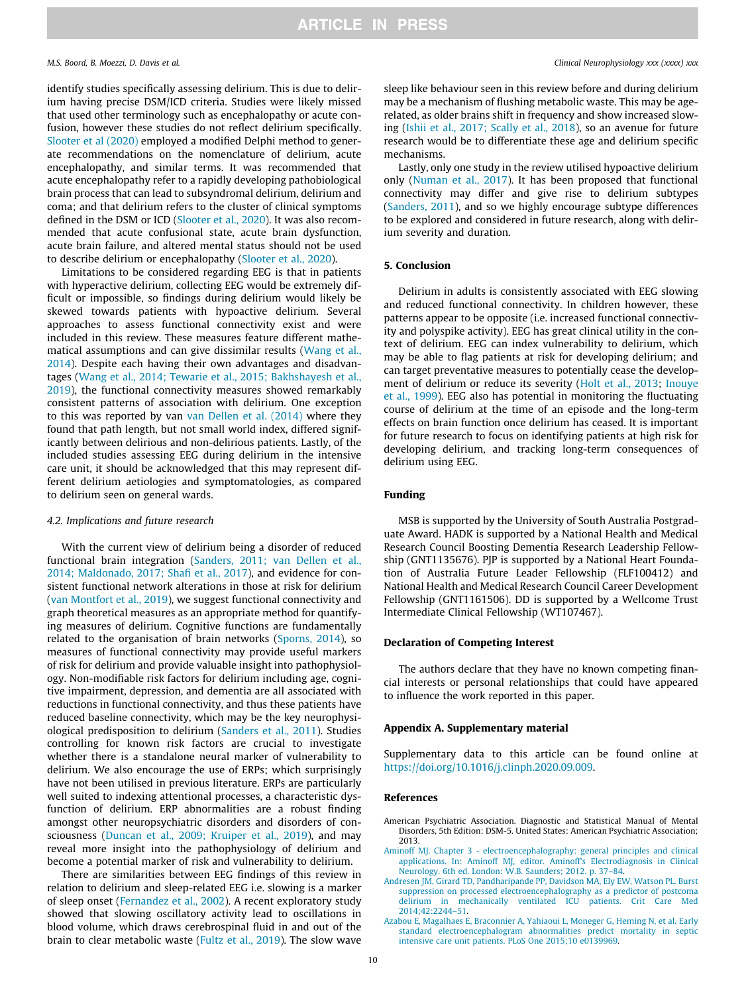<span id="page-9-0"></span>

identify studies specifically assessing delirium. This is due to delirium having precise DSM/ICD criteria. Studies were likely missed that used other terminology such as encephalopathy or acute confusion, however these studies do not reflect delirium specifically. [Slooter et al \(2020\)](#page-11-0) employed a modified Delphi method to generate recommendations on the nomenclature of delirium, acute encephalopathy, and similar terms. It was recommended that acute encephalopathy refer to a rapidly developing pathobiological brain process that can lead to subsyndromal delirium, delirium and coma; and that delirium refers to the cluster of clinical symptoms defined in the DSM or ICD ([Slooter et al., 2020\)](#page-11-0). It was also recommended that acute confusional state, acute brain dysfunction, acute brain failure, and altered mental status should not be used to describe delirium or encephalopathy [\(Slooter et al., 2020\)](#page-11-0).

Limitations to be considered regarding EEG is that in patients with hyperactive delirium, collecting EEG would be extremely difficult or impossible, so findings during delirium would likely be skewed towards patients with hypoactive delirium. Several approaches to assess functional connectivity exist and were included in this review. These measures feature different mathematical assumptions and can give dissimilar results ([Wang et al.,](#page-11-0) [2014\)](#page-11-0). Despite each having their own advantages and disadvantages [\(Wang et al., 2014; Tewarie et al., 2015; Bakhshayesh et al.,](#page-11-0) [2019\)](#page-11-0), the functional connectivity measures showed remarkably consistent patterns of association with delirium. One exception to this was reported by van [van Dellen et al. \(2014\)](#page-11-0) where they found that path length, but not small world index, differed significantly between delirious and non-delirious patients. Lastly, of the included studies assessing EEG during delirium in the intensive care unit, it should be acknowledged that this may represent different delirium aetiologies and symptomatologies, as compared to delirium seen on general wards.

#### 4.2. Implications and future research

With the current view of delirium being a disorder of reduced functional brain integration [\(Sanders, 2011; van Dellen et al.,](#page-11-0) [2014; Maldonado, 2017; Shafi et al., 2017\)](#page-11-0), and evidence for consistent functional network alterations in those at risk for delirium ([van Montfort et al., 2019](#page-11-0)), we suggest functional connectivity and graph theoretical measures as an appropriate method for quantifying measures of delirium. Cognitive functions are fundamentally related to the organisation of brain networks ([Sporns, 2014\)](#page-11-0), so measures of functional connectivity may provide useful markers of risk for delirium and provide valuable insight into pathophysiology. Non-modifiable risk factors for delirium including age, cognitive impairment, depression, and dementia are all associated with reductions in functional connectivity, and thus these patients have reduced baseline connectivity, which may be the key neurophysiological predisposition to delirium ([Sanders et al., 2011\)](#page-11-0). Studies controlling for known risk factors are crucial to investigate whether there is a standalone neural marker of vulnerability to delirium. We also encourage the use of ERPs; which surprisingly have not been utilised in previous literature. ERPs are particularly well suited to indexing attentional processes, a characteristic dysfunction of delirium. ERP abnormalities are a robust finding amongst other neuropsychiatric disorders and disorders of consciousness [\(Duncan et al., 2009; Kruiper et al., 2019\)](#page-10-0), and may reveal more insight into the pathophysiology of delirium and become a potential marker of risk and vulnerability to delirium.

There are similarities between EEG findings of this review in relation to delirium and sleep-related EEG i.e. slowing is a marker of sleep onset ([Fernandez et al., 2002](#page-10-0)). A recent exploratory study showed that slowing oscillatory activity lead to oscillations in blood volume, which draws cerebrospinal fluid in and out of the brain to clear metabolic waste ([Fultz et al., 2019\)](#page-10-0). The slow wave

sleep like behaviour seen in this review before and during delirium may be a mechanism of flushing metabolic waste. This may be agerelated, as older brains shift in frequency and show increased slowing [\(Ishii et al., 2017; Scally et al., 2018\)](#page-10-0), so an avenue for future research would be to differentiate these age and delirium specific mechanisms.

Lastly, only one study in the review utilised hypoactive delirium only ([Numan et al., 2017](#page-10-0)). It has been proposed that functional connectivity may differ and give rise to delirium subtypes ([Sanders, 2011](#page-11-0)), and so we highly encourage subtype differences to be explored and considered in future research, along with delirium severity and duration.

### 5. Conclusion

Delirium in adults is consistently associated with EEG slowing and reduced functional connectivity. In children however, these patterns appear to be opposite (i.e. increased functional connectivity and polyspike activity). EEG has great clinical utility in the context of delirium. EEG can index vulnerability to delirium, which may be able to flag patients at risk for developing delirium; and can target preventative measures to potentially cease the development of delirium or reduce its severity [\(Holt et al., 2013;](#page-10-0) [Inouye](#page-10-0) [et al., 1999](#page-10-0)). EEG also has potential in monitoring the fluctuating course of delirium at the time of an episode and the long-term effects on brain function once delirium has ceased. It is important for future research to focus on identifying patients at high risk for developing delirium, and tracking long-term consequences of delirium using EEG.

### Funding

MSB is supported by the University of South Australia Postgraduate Award. HADK is supported by a National Health and Medical Research Council Boosting Dementia Research Leadership Fellowship (GNT1135676). PJP is supported by a National Heart Foundation of Australia Future Leader Fellowship (FLF100412) and National Health and Medical Research Council Career Development Fellowship (GNT1161506). DD is supported by a Wellcome Trust Intermediate Clinical Fellowship (WT107467).

#### Declaration of Competing Interest

The authors declare that they have no known competing financial interests or personal relationships that could have appeared to influence the work reported in this paper.

#### Appendix A. Supplementary material

Supplementary data to this article can be found online at <https://doi.org/10.1016/j.clinph.2020.09.009>.

#### References

- American Psychiatric Association. Diagnostic and Statistical Manual of Mental Disorders, 5th Edition: DSM-5. United States: American Psychiatric Association; 2013.
- [Aminoff MJ. Chapter 3 electroencephalography: general principles and clinical](http://refhub.elsevier.com/S1388-2457(20)30482-X/h0010) [applications. In: Aminoff MJ, editor. Aminoff's Electrodiagnosis in Clinical](http://refhub.elsevier.com/S1388-2457(20)30482-X/h0010) [Neurology. 6th ed. London: W.B. Saunders; 2012. p. 37–84](http://refhub.elsevier.com/S1388-2457(20)30482-X/h0010).
- [Andresen JM, Girard TD, Pandharipande PP, Davidson MA, Ely EW, Watson PL. Burst](http://refhub.elsevier.com/S1388-2457(20)30482-X/h0015) [suppression on processed electroencephalography as a predictor of postcoma](http://refhub.elsevier.com/S1388-2457(20)30482-X/h0015) [delirium in mechanically ventilated ICU patients. Crit Care Med](http://refhub.elsevier.com/S1388-2457(20)30482-X/h0015) [2014;42:2244–51.](http://refhub.elsevier.com/S1388-2457(20)30482-X/h0015)
- [Azabou E, Magalhaes E, Braconnier A, Yahiaoui L, Moneger G, Heming N, et al. Early](http://refhub.elsevier.com/S1388-2457(20)30482-X/h0020) [standard electroencephalogram abnormalities predict mortality in septic](http://refhub.elsevier.com/S1388-2457(20)30482-X/h0020) [intensive care unit patients. PLoS One 2015;10 e0139969](http://refhub.elsevier.com/S1388-2457(20)30482-X/h0020).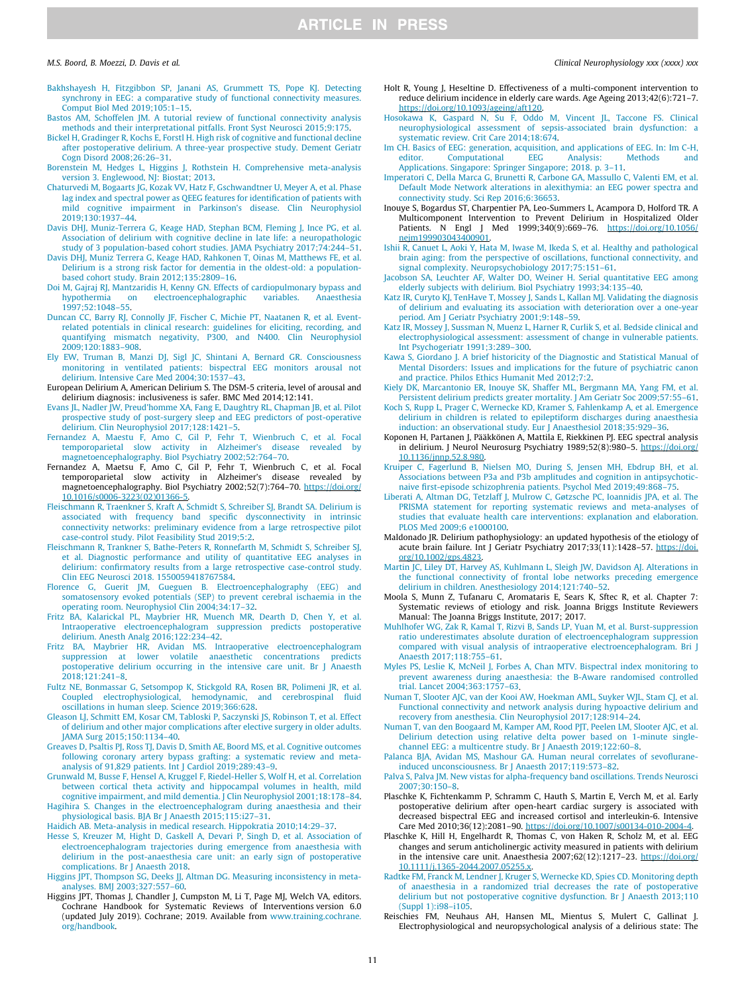<span id="page-10-0"></span>

- [Bakhshayesh H, Fitzgibbon SP, Janani AS, Grummett TS, Pope KJ. Detecting](http://refhub.elsevier.com/S1388-2457(20)30482-X/h0025) [synchrony in EEG: a comparative study of functional connectivity measures.](http://refhub.elsevier.com/S1388-2457(20)30482-X/h0025) [Comput Biol Med 2019;105:1–15](http://refhub.elsevier.com/S1388-2457(20)30482-X/h0025).
- [Bastos AM, Schoffelen JM. A tutorial review of functional connectivity analysis](http://refhub.elsevier.com/S1388-2457(20)30482-X/h0030) [methods and their interpretational pitfalls. Front Syst Neurosci 2015;9:175.](http://refhub.elsevier.com/S1388-2457(20)30482-X/h0030)
- [Bickel H, Gradinger R, Kochs E, Forstl H. High risk of cognitive and functional decline](http://refhub.elsevier.com/S1388-2457(20)30482-X/h0035) [after postoperative delirium. A three-year prospective study. Dement Geriatr](http://refhub.elsevier.com/S1388-2457(20)30482-X/h0035) [Cogn Disord 2008;26:26–31](http://refhub.elsevier.com/S1388-2457(20)30482-X/h0035).
- [Borenstein M, Hedges L, Higgins J, Rothstein H. Comprehensive meta-analysis](http://refhub.elsevier.com/S1388-2457(20)30482-X/h0040) [version 3. Englewood, NJ: Biostat; 2013](http://refhub.elsevier.com/S1388-2457(20)30482-X/h0040).
- [Chaturvedi M, Bogaarts JG, Kozak VV, Hatz F, Gschwandtner U, Meyer A, et al. Phase](http://refhub.elsevier.com/S1388-2457(20)30482-X/h0045) [lag index and spectral power as QEEG features for identification of patients with](http://refhub.elsevier.com/S1388-2457(20)30482-X/h0045) [mild cognitive impairment in Parkinson's disease. Clin Neurophysiol](http://refhub.elsevier.com/S1388-2457(20)30482-X/h0045) [2019;130:1937–44](http://refhub.elsevier.com/S1388-2457(20)30482-X/h0045).
- [Davis DHJ, Muniz-Terrera G, Keage HAD, Stephan BCM, Fleming J, Ince PG, et al.](http://refhub.elsevier.com/S1388-2457(20)30482-X/h0050) [Association of delirium with cognitive decline in late life: a neuropathologic](http://refhub.elsevier.com/S1388-2457(20)30482-X/h0050) [study of 3 population-based cohort studies. JAMA Psychiatry 2017;74:244–51](http://refhub.elsevier.com/S1388-2457(20)30482-X/h0050).
- [Davis DHJ, Muniz Terrera G, Keage HAD, Rahkonen T, Oinas M, Matthews FE, et al.](http://refhub.elsevier.com/S1388-2457(20)30482-X/h0055) [Delirium is a strong risk factor for dementia in the oldest-old: a population](http://refhub.elsevier.com/S1388-2457(20)30482-X/h0055)[based cohort study. Brain 2012;135:2809–16](http://refhub.elsevier.com/S1388-2457(20)30482-X/h0055).
- [Doi M, Gajraj RJ, Mantzaridis H, Kenny GN. Effects of cardiopulmonary bypass and](http://refhub.elsevier.com/S1388-2457(20)30482-X/h0060) [hypothermia on electroencephalographic variables. Anaesthesia](http://refhub.elsevier.com/S1388-2457(20)30482-X/h0060) [1997;52:1048–55.](http://refhub.elsevier.com/S1388-2457(20)30482-X/h0060)
- [Duncan CC, Barry RJ, Connolly JF, Fischer C, Michie PT, Naatanen R, et al. Event](http://refhub.elsevier.com/S1388-2457(20)30482-X/h0065)[related potentials in clinical research: guidelines for eliciting, recording, and](http://refhub.elsevier.com/S1388-2457(20)30482-X/h0065) [quantifying mismatch negativity, P300, and N400. Clin Neurophysiol](http://refhub.elsevier.com/S1388-2457(20)30482-X/h0065) [2009;120:1883–908](http://refhub.elsevier.com/S1388-2457(20)30482-X/h0065).
- [Ely EW, Truman B, Manzi DJ, Sigl JC, Shintani A, Bernard GR. Consciousness](http://refhub.elsevier.com/S1388-2457(20)30482-X/h0070) [monitoring in ventilated patients: bispectral EEG monitors arousal not](http://refhub.elsevier.com/S1388-2457(20)30482-X/h0070) [delirium. Intensive Care Med 2004;30:1537–43](http://refhub.elsevier.com/S1388-2457(20)30482-X/h0070).
- European Delirium A, American Delirium S. The DSM-5 criteria, level of arousal and delirium diagnosis: inclusiveness is safer. BMC Med 2014;12:141.
- [Evans JL, Nadler JW, Preud'homme XA, Fang E, Daughtry RL, Chapman JB, et al. Pilot](http://refhub.elsevier.com/S1388-2457(20)30482-X/h0080) [prospective study of post-surgery sleep and EEG predictors of post-operative](http://refhub.elsevier.com/S1388-2457(20)30482-X/h0080) [delirium. Clin Neurophysiol 2017;128:1421–5](http://refhub.elsevier.com/S1388-2457(20)30482-X/h0080).
- [Fernandez A, Maestu F, Amo C, Gil P, Fehr T, Wienbruch C, et al. Focal](http://refhub.elsevier.com/S1388-2457(20)30482-X/h0085) [temporoparietal slow activity in Alzheimer's disease revealed by](http://refhub.elsevier.com/S1388-2457(20)30482-X/h0085) [magnetoencephalography. Biol Psychiatry 2002;52:764–70](http://refhub.elsevier.com/S1388-2457(20)30482-X/h0085).
- Fernandez A, Maetsu F, Amo C, Gil P, Fehr T, Wienbruch C, et al. Focal temporoparietal slow activity in Alzheimer's disease revealed by magnetoencephalography. Biol Psychiatry 2002;52(7):764–70. [https://doi.org/](https://doi.org/10.1016/s0006-3223(02)01366-5) [10.1016/s0006-3223\(02\)01366-5](https://doi.org/10.1016/s0006-3223(02)01366-5).
- [Fleischmann R, Traenkner S, Kraft A, Schmidt S, Schreiber SJ, Brandt SA. Delirium is](http://refhub.elsevier.com/S1388-2457(20)30482-X/h0090) [associated with frequency band specific dysconnectivity in intrinsic](http://refhub.elsevier.com/S1388-2457(20)30482-X/h0090) [connectivity networks: preliminary evidence from a large retrospective pilot](http://refhub.elsevier.com/S1388-2457(20)30482-X/h0090) [case-control study. Pilot Feasibility Stud 2019;5:2](http://refhub.elsevier.com/S1388-2457(20)30482-X/h0090).
- [Fleischmann R, Trankner S, Bathe-Peters R, Ronnefarth M, Schmidt S, Schreiber SJ,](http://refhub.elsevier.com/S1388-2457(20)30482-X/h0095) [et al. Diagnostic performance and utility of quantitative EEG analyses in](http://refhub.elsevier.com/S1388-2457(20)30482-X/h0095) [delirium: confirmatory results from a large retrospective case-control study.](http://refhub.elsevier.com/S1388-2457(20)30482-X/h0095) [Clin EEG Neurosci 2018. 1550059418767584](http://refhub.elsevier.com/S1388-2457(20)30482-X/h0095).
- [Florence G, Guerit JM, Gueguen B. Electroencephalography \(EEG\) and](http://refhub.elsevier.com/S1388-2457(20)30482-X/h0100) [somatosensory evoked potentials \(SEP\) to prevent cerebral ischaemia in the](http://refhub.elsevier.com/S1388-2457(20)30482-X/h0100) [operating room. Neurophysiol Clin 2004;34:17–32.](http://refhub.elsevier.com/S1388-2457(20)30482-X/h0100)
- [Fritz BA, Kalarickal PL, Maybrier HR, Muench MR, Dearth D, Chen Y, et al.](http://refhub.elsevier.com/S1388-2457(20)30482-X/h0105) [Intraoperative electroencephalogram suppression predicts postoperative](http://refhub.elsevier.com/S1388-2457(20)30482-X/h0105) [delirium. Anesth Analg 2016;122:234–42.](http://refhub.elsevier.com/S1388-2457(20)30482-X/h0105) [Fritz BA, Maybrier HR, Avidan MS. Intraoperative electroencephalogram](http://refhub.elsevier.com/S1388-2457(20)30482-X/h0110)
- [suppression at lower volatile anaesthetic concentrations predicts](http://refhub.elsevier.com/S1388-2457(20)30482-X/h0110) [postoperative delirium occurring in the intensive care unit. Br J Anaesth](http://refhub.elsevier.com/S1388-2457(20)30482-X/h0110) [2018;121:241–8.](http://refhub.elsevier.com/S1388-2457(20)30482-X/h0110)
- [Fultz NE, Bonmassar G, Setsompop K, Stickgold RA, Rosen BR, Polimeni JR, et al.](http://refhub.elsevier.com/S1388-2457(20)30482-X/h0115) [Coupled electrophysiological, hemodynamic, and cerebrospinal fluid](http://refhub.elsevier.com/S1388-2457(20)30482-X/h0115) [oscillations in human sleep. Science 2019;366:628.](http://refhub.elsevier.com/S1388-2457(20)30482-X/h0115)
- [Gleason LJ, Schmitt EM, Kosar CM, Tabloski P, Saczynski JS, Robinson T, et al. Effect](http://refhub.elsevier.com/S1388-2457(20)30482-X/h0120) [of delirium and other major complications after elective surgery in older adults.](http://refhub.elsevier.com/S1388-2457(20)30482-X/h0120) [JAMA Surg 2015;150:1134–40](http://refhub.elsevier.com/S1388-2457(20)30482-X/h0120).
- [Greaves D, Psaltis PJ, Ross TJ, Davis D, Smith AE, Boord MS, et al. Cognitive outcomes](http://refhub.elsevier.com/S1388-2457(20)30482-X/h0125) [following coronary artery bypass grafting: a systematic review and meta](http://refhub.elsevier.com/S1388-2457(20)30482-X/h0125)[analysis of 91,829 patients. Int J Cardiol 2019;289:43–9.](http://refhub.elsevier.com/S1388-2457(20)30482-X/h0125)
- [Grunwald M, Busse F, Hensel A, Kruggel F, Riedel-Heller S, Wolf H, et al. Correlation](http://refhub.elsevier.com/S1388-2457(20)30482-X/h0130) [between cortical theta activity and hippocampal volumes in health, mild](http://refhub.elsevier.com/S1388-2457(20)30482-X/h0130) [cognitive impairment, and mild dementia. J Clin Neurophysiol 2001;18:178–84](http://refhub.elsevier.com/S1388-2457(20)30482-X/h0130).
- [Hagihira S. Changes in the electroencephalogram during anaesthesia and their](http://refhub.elsevier.com/S1388-2457(20)30482-X/h0135) [physiological basis. BJA Br J Anaesth 2015;115:i27–31](http://refhub.elsevier.com/S1388-2457(20)30482-X/h0135).

[Haidich AB. Meta-analysis in medical research. Hippokratia 2010;14:29–37](http://refhub.elsevier.com/S1388-2457(20)30482-X/h0140).

- [Hesse S, Kreuzer M, Hight D, Gaskell A, Devari P, Singh D, et al. Association of](http://refhub.elsevier.com/S1388-2457(20)30482-X/h0145) [electroencephalogram trajectories during emergence from anaesthesia with](http://refhub.elsevier.com/S1388-2457(20)30482-X/h0145) [delirium in the post-anaesthesia care unit: an early sign of postoperative](http://refhub.elsevier.com/S1388-2457(20)30482-X/h0145) [complications. Br J Anaesth 2018](http://refhub.elsevier.com/S1388-2457(20)30482-X/h0145).
- [Higgins JPT, Thompson SG, Deeks JJ, Altman DG. Measuring inconsistency in meta](http://refhub.elsevier.com/S1388-2457(20)30482-X/h0150)[analyses. BMJ 2003;327:557–60](http://refhub.elsevier.com/S1388-2457(20)30482-X/h0150).
- Higgins JPT, Thomas J, Chandler J, Cumpston M, Li T, Page MJ, Welch VA, editors. Cochrane Handbook for Systematic Reviews of Interventions version 6.0 (updated July 2019). Cochrane; 2019. Available from [www.training.cochrane.](http://www.training.cochrane.org/handbook) [org/handbook.](http://www.training.cochrane.org/handbook)
- Holt R, Young J, Heseltine D. Effectiveness of a multi-component intervention to reduce delirium incidence in elderly care wards. Age Ageing 2013;42(6):721–7.  $\cdot$ //doi.org/10.1093/ageing/aft120
- [Hosokawa K, Gaspard N, Su F, Oddo M, Vincent JL, Taccone FS. Clinical](http://refhub.elsevier.com/S1388-2457(20)30482-X/h0160) [neurophysiological assessment of sepsis-associated brain dysfunction: a](http://refhub.elsevier.com/S1388-2457(20)30482-X/h0160) [systematic review. Crit Care 2014;18:674.](http://refhub.elsevier.com/S1388-2457(20)30482-X/h0160)
- [Im CH. Basics of EEG: generation, acquisition, and applications of EEG. In: Im C-H,](http://refhub.elsevier.com/S1388-2457(20)30482-X/h0165) [editor. Computational EEG Analysis: Methods and](http://refhub.elsevier.com/S1388-2457(20)30482-X/h0165) [Applications. Singapore: Springer Singapore; 2018. p. 3–11.](http://refhub.elsevier.com/S1388-2457(20)30482-X/h0165)
- [Imperatori C, Della Marca G, Brunetti R, Carbone GA, Massullo C, Valenti EM, et al.](http://refhub.elsevier.com/S1388-2457(20)30482-X/h0170) [Default Mode Network alterations in alexithymia: an EEG power spectra and](http://refhub.elsevier.com/S1388-2457(20)30482-X/h0170) [connectivity study. Sci Rep 2016;6:36653](http://refhub.elsevier.com/S1388-2457(20)30482-X/h0170).
- Inouye S, Bogardus ST, Charpentier PA, Leo-Summers L, Acampora D, Holford TR. A Multicomponent Intervention to Prevent Delirium in Hospitalized Older Patients. N Engl J Med 1999;340(9):669–76. [https://doi.org/10.1056/](https://doi.org/10.1056/nejm199903043400901) [nejm199903043400901.](https://doi.org/10.1056/nejm199903043400901)
- [Ishii R, Canuet L, Aoki Y, Hata M, Iwase M, Ikeda S, et al. Healthy and pathological](http://refhub.elsevier.com/S1388-2457(20)30482-X/h0175) [brain aging: from the perspective of oscillations, functional connectivity, and](http://refhub.elsevier.com/S1388-2457(20)30482-X/h0175) [signal complexity. Neuropsychobiology 2017;75:151–61.](http://refhub.elsevier.com/S1388-2457(20)30482-X/h0175)
- [Jacobson SA, Leuchter AF, Walter DO, Weiner H. Serial quantitative EEG among](http://refhub.elsevier.com/S1388-2457(20)30482-X/h0180) [elderly subjects with delirium. Biol Psychiatry 1993;34:135–40.](http://refhub.elsevier.com/S1388-2457(20)30482-X/h0180)
- [Katz IR, Curyto KJ, TenHave T, Mossey J, Sands L, Kallan MJ. Validating the diagnosis](http://refhub.elsevier.com/S1388-2457(20)30482-X/h0185) [of delirium and evaluating its association with deterioration over a one-year](http://refhub.elsevier.com/S1388-2457(20)30482-X/h0185) [period. Am J Geriatr Psychiatry 2001;9:148–59.](http://refhub.elsevier.com/S1388-2457(20)30482-X/h0185)
- [Katz IR, Mossey J, Sussman N, Muenz L, Harner R, Curlik S, et al. Bedside clinical and](http://refhub.elsevier.com/S1388-2457(20)30482-X/h0190) [electrophysiological assessment: assessment of change in vulnerable patients.](http://refhub.elsevier.com/S1388-2457(20)30482-X/h0190) [Int Psychogeriatr 1991;3:289–300.](http://refhub.elsevier.com/S1388-2457(20)30482-X/h0190)
- [Kawa S, Giordano J. A brief historicity of the Diagnostic and Statistical Manual of](http://refhub.elsevier.com/S1388-2457(20)30482-X/h0195) [Mental Disorders: Issues and implications for the future of psychiatric canon](http://refhub.elsevier.com/S1388-2457(20)30482-X/h0195) [and practice. Philos Ethics Humanit Med 2012;7:2](http://refhub.elsevier.com/S1388-2457(20)30482-X/h0195).
- [Kiely DK, Marcantonio ER, Inouye SK, Shaffer ML, Bergmann MA, Yang FM, et al.](http://refhub.elsevier.com/S1388-2457(20)30482-X/h0200) [Persistent delirium predicts greater mortality. J Am Geriatr Soc 2009;57:55–61](http://refhub.elsevier.com/S1388-2457(20)30482-X/h0200).
- [Koch S, Rupp L, Prager C, Wernecke KD, Kramer S, Fahlenkamp A, et al. Emergence](http://refhub.elsevier.com/S1388-2457(20)30482-X/h0205) [delirium in children is related to epileptiform discharges during anaesthesia](http://refhub.elsevier.com/S1388-2457(20)30482-X/h0205) induction: an observational study. Eur J Anaesthesiol 2018;35:929-36.
- Koponen H, Partanen J, Pääkkönen A, Mattila E, Riekkinen PJ. EEG spectral analysis in delirium. J Neurol Neurosurg Psychiatry 1989;52(8):980-5. https://doi. [10.1136/jnnp.52.8.980.](https://doi.org/10.1136/jnnp.52.8.980)
- [Kruiper C, Fagerlund B, Nielsen MO, During S, Jensen MH, Ebdrup BH, et al.](http://refhub.elsevier.com/S1388-2457(20)30482-X/h0210) [Associations between P3a and P3b amplitudes and cognition in antipsychotic](http://refhub.elsevier.com/S1388-2457(20)30482-X/h0210)[naive first-episode schizophrenia patients. Psychol Med 2019;49:868–75.](http://refhub.elsevier.com/S1388-2457(20)30482-X/h0210)
- [Liberati A, Altman DG, Tetzlaff J, Mulrow C, Gøtzsche PC, Ioannidis JPA, et al. The](http://refhub.elsevier.com/S1388-2457(20)30482-X/h0215) [PRISMA statement for reporting systematic reviews and meta-analyses of](http://refhub.elsevier.com/S1388-2457(20)30482-X/h0215) [studies that evaluate health care interventions: explanation and elaboration.](http://refhub.elsevier.com/S1388-2457(20)30482-X/h0215) [PLOS Med 2009;6 e1000100](http://refhub.elsevier.com/S1388-2457(20)30482-X/h0215).
- Maldonado JR. Delirium pathophysiology: an updated hypothesis of the etiology of acute brain failure. Int J Geriatr Psychiatry 2017;33(11):1428–57. [https://doi.](https://doi.org/10.1002/gps.4823) [org/10.1002/gps.4823.](https://doi.org/10.1002/gps.4823)
- [Martin JC, Liley DT, Harvey AS, Kuhlmann L, Sleigh JW, Davidson AJ. Alterations in](http://refhub.elsevier.com/S1388-2457(20)30482-X/h0225) [the functional connectivity of frontal lobe networks preceding emergence](http://refhub.elsevier.com/S1388-2457(20)30482-X/h0225) [delirium in children. Anesthesiology 2014;121:740–52](http://refhub.elsevier.com/S1388-2457(20)30482-X/h0225).
- Moola S, Munn Z, Tufanaru C, Aromataris E, Sears K, Sftec R, et al. Chapter 7: Systematic reviews of etiology and risk. Joanna Briggs Institute Reviewers Manual: The Joanna Briggs Institute, 2017; 2017.
- [Muhlhofer WG, Zak R, Kamal T, Rizvi B, Sands LP, Yuan M, et al. Burst-suppression](http://refhub.elsevier.com/S1388-2457(20)30482-X/h0235) [ratio underestimates absolute duration of electroencephalogram suppression](http://refhub.elsevier.com/S1388-2457(20)30482-X/h0235) [compared with visual analysis of intraoperative electroencephalogram. Bri J](http://refhub.elsevier.com/S1388-2457(20)30482-X/h0235) [Anaesth 2017;118:755–61](http://refhub.elsevier.com/S1388-2457(20)30482-X/h0235).
- [Myles PS, Leslie K, McNeil J, Forbes A, Chan MTV. Bispectral index monitoring to](http://refhub.elsevier.com/S1388-2457(20)30482-X/h0240) [prevent awareness during anaesthesia: the B-Aware randomised controlled](http://refhub.elsevier.com/S1388-2457(20)30482-X/h0240) [trial. Lancet 2004;363:1757–63](http://refhub.elsevier.com/S1388-2457(20)30482-X/h0240).
- [Numan T, Slooter AJC, van der Kooi AW, Hoekman AML, Suyker WJL, Stam CJ, et al.](http://refhub.elsevier.com/S1388-2457(20)30482-X/h0245) [Functional connectivity and network analysis during hypoactive delirium and](http://refhub.elsevier.com/S1388-2457(20)30482-X/h0245) [recovery from anesthesia. Clin Neurophysiol 2017;128:914–24.](http://refhub.elsevier.com/S1388-2457(20)30482-X/h0245)
- [Numan T, van den Boogaard M, Kamper AM, Rood PJT, Peelen LM, Slooter AJC, et al.](http://refhub.elsevier.com/S1388-2457(20)30482-X/h0250) [Delirium detection using relative delta power based on 1-minute single](http://refhub.elsevier.com/S1388-2457(20)30482-X/h0250)[channel EEG: a multicentre study. Br J Anaesth 2019;122:60–8](http://refhub.elsevier.com/S1388-2457(20)30482-X/h0250).
- [Palanca BJA, Avidan MS, Mashour GA. Human neural correlates of sevoflurane](http://refhub.elsevier.com/S1388-2457(20)30482-X/h0255)[induced unconsciousness. Br J Anaesth 2017;119:573–82.](http://refhub.elsevier.com/S1388-2457(20)30482-X/h0255)
- [Palva S, Palva JM. New vistas for alpha-frequency band oscillations. Trends Neurosci](http://refhub.elsevier.com/S1388-2457(20)30482-X/h0260) [2007;30:150–8.](http://refhub.elsevier.com/S1388-2457(20)30482-X/h0260)
- Plaschke K, Fichtenkamm P, Schramm C, Hauth S, Martin E, Verch M, et al. Early postoperative delirium after open-heart cardiac surgery is associated with decreased bispectral EEG and increased cortisol and interleukin-6. Intensive Care Med 2010;36(12):2081–90. <https://doi.org/10.1007/s00134-010-2004-4>.
- Plaschke K, Hill H, Engelhardt R, Thomas C, von Haken R, Scholz M, et al. EEG changes and serum anticholinergic activity measured in patients with delirium in the intensive care unit. Anaesthesia 2007;62(12):1217-23. [https://doi.org/](https://doi.org/10.1111/j.1365-2044.2007.05255.x) [10.1111/j.1365-2044.2007.05255.x](https://doi.org/10.1111/j.1365-2044.2007.05255.x).
- [Radtke FM, Franck M, Lendner J, Kruger S, Wernecke KD, Spies CD. Monitoring depth](http://refhub.elsevier.com/S1388-2457(20)30482-X/h0265) [of anaesthesia in a randomized trial decreases the rate of postoperative](http://refhub.elsevier.com/S1388-2457(20)30482-X/h0265) [delirium but not postoperative cognitive dysfunction. Br J Anaesth 2013;110](http://refhub.elsevier.com/S1388-2457(20)30482-X/h0265) [\(Suppl 1\):i98–i105.](http://refhub.elsevier.com/S1388-2457(20)30482-X/h0265)
- Reischies FM, Neuhaus AH, Hansen ML, Mientus S, Mulert C, Gallinat J. Electrophysiological and neuropsychological analysis of a delirious state: The